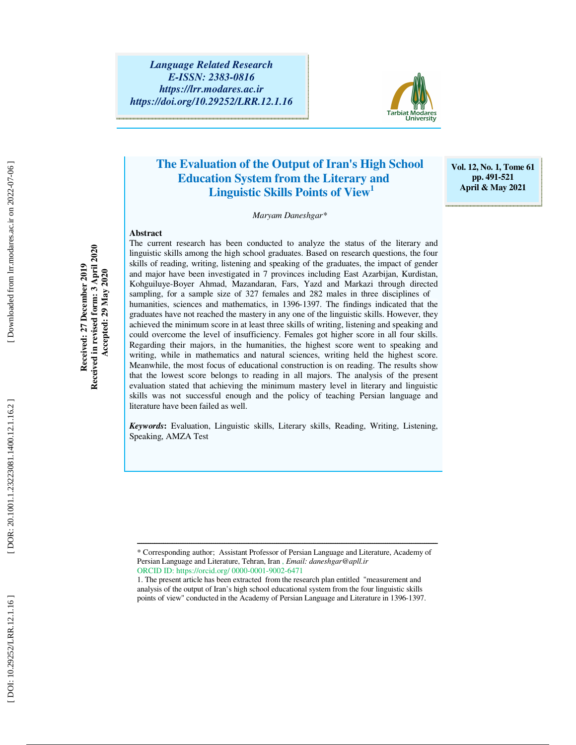

## **The Evaluation of the Output of Iran's High School Education System from the Literary and Linguistic Skills Points of View<sup>1</sup>**

**Vol. 12, No. 1, Tome 61 pp. 491-521 April & May 2021** 

*Maryam Daneshgar\**

#### **Abstract**  The current research has been conducted to analyze the status of the literary and

Received in revised form: 3 April 2020 **Received in revised form: 3 April 2020 Received: 27 December 2019**  Received: 27 December 2019  **Accepted: 29 May 2020**  Accepted: 29 May 2020

linguistic skills among the high school graduates. Based on research questions, the four skills of reading, writing, listening and speaking of the graduates, the impact of gender and major have been investigated in 7 provinces including East Azarbijan, Kurdistan, Kohguiluye-Boyer Ahmad, Mazandaran, Fars, Yazd and Markazi through directed sampling, for a sample size of 327 females and 282 males in three disciplines of humanities, sciences and mathematics, in 1396-1397. The findings indicated that the graduates have not reached the mastery in any one of the linguistic skills. However, they achieved the minimum score in at least three skills of writing, listening and speaking and could overcome the level of insufficiency. Females got higher score in all four skills. Regarding their majors, in the humanities, the highest score went to speaking and writing, while in mathematics and natural sciences, writing held the highest score. Meanwhile, the most focus of educational construction is on reading. The results show that the lowest score belongs to reading in all majors. The analysis of the present evaluation stated that achieving the minimum mastery level in literary and linguistic skills was not successful enough and the policy of teaching Persian language and literature have been failed as well.

*Keywords* **:** Evaluation, Linguistic skills, Literary skills, Reading, Writing, Listening, Speaking, AMZA Test

ــــــــــــــــــــــــــــــــــــــــــــــــــــــــــــــــــــــــــــــــــــــــــــــــــــــــــــــــــــــــــــــــــــــــــ

<sup>\*</sup> Corresponding author; Assistant Professor of Persian Language and Literature, Academy of Persian Language and Literature, Tehran, Iran , *Email: daneshgar@apll.ir* ORCID ID: https://orcid.org/ 0000-0001-9002-6471

<sup>1.</sup> The present article has been extracted from the research plan entitled "measurement and analysis of the output of Iran's high school educational system from the four linguistic skills points of view" conducted in the Academy of Persian Language and Literature in 1396-1397.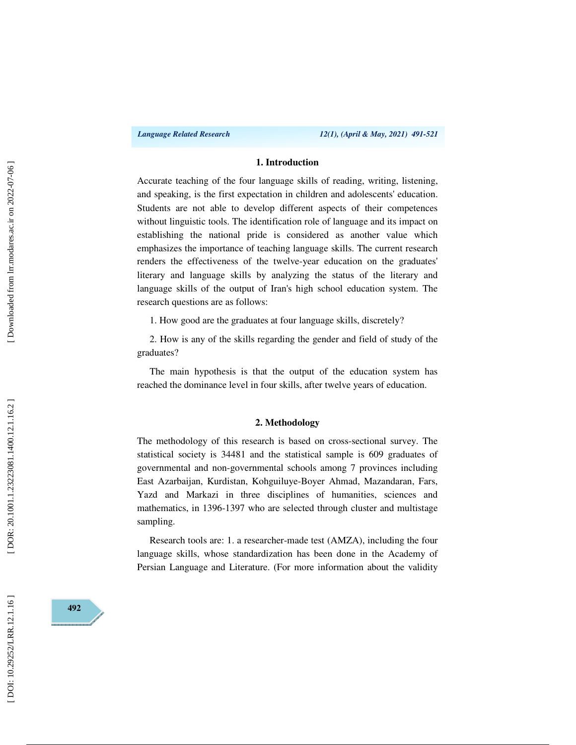### **1. Introduction**

Accurate teaching of the four language skills of reading, writing, listening, and speaking, is the first expectation in children and adolescents' education. Students are not able to develop different aspects of their competences without linguistic tools. The identification role of language and its impact on establishing the national pride is considered as another value which emphasizes the importance of teaching language skills. The current research renders the effectiveness of the twelve-year education on the graduates' literary and language skills by analyzing the status of the literary and language skills of the output of Iran's high school education system. The research questions are as follows:

1. How good are the graduates at four language skills, discretely?

2. How is any of the skills regarding the gender and field of study of the graduates?

The main hypothesis is that the output of the education system has reached the dominance level in four skills, after twelve years of education.

#### **2. Methodology**

The methodology of this research is based on cross-sectional survey. The statistical society is 34481 and the statistical sample is 609 graduates of governmental and non-governmental schools among 7 provinces including East Azarbaijan, Kurdistan, Kohguiluye-Boyer Ahmad, Mazandaran, Fars, Yazd and Markazi in three disciplines of humanities, sciences and mathematics, in 1396-1397 who are selected through cluster and multistage sampling.

Research tools are: 1. a researcher-made test (AMZA), including the four language skills, whose standardization has been done in the Academy of Persian Language and Literature. (For more information about the validity

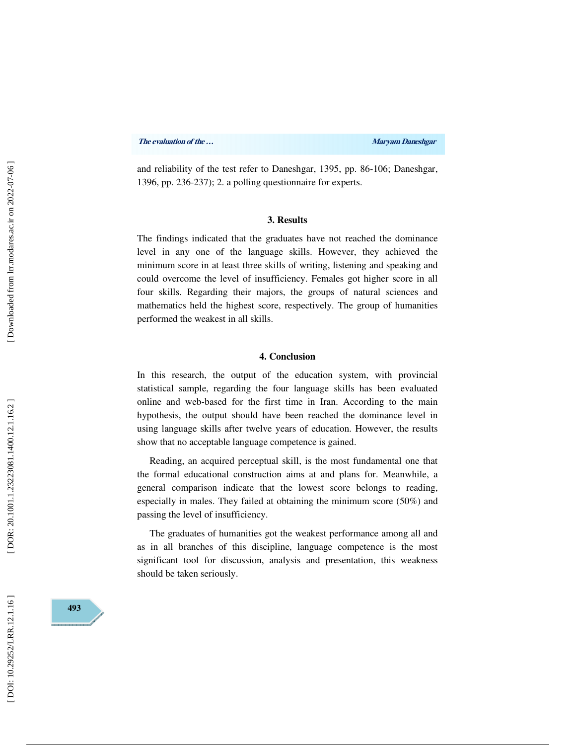and reliability of the test refer to Daneshgar, 1395, pp. 86-106; Daneshgar, 1396, pp. 236-237); 2. a polling questionnaire for experts.

#### **3. Results**

The findings indicated that the graduates have not reached the dominance level in any one of the language skills. However, they achieved the minimum score in at least three skills of writing, listening and speaking and could overcome the level of insufficiency. Females got higher score in all four skills. Regarding their majors, the groups of natural sciences and mathematics held the highest score, respectively. The group of humanities performed the weakest in all skills.

## **4. Conclusion**

In this research, the output of the education system, with provincial statistical sample, regarding the four language skills has been evaluated online and web-based for the first time in Iran. According to the main hypothesis, the output should have been reached the dominance level in using language skills after twelve years of education. However, the results show that no acceptable language competence is gained.

Reading, an acquired perceptual skill, is the most fundamental one that the formal educational construction aims at and plans for. Meanwhile, a general comparison indicate that the lowest score belongs to reading, especially in males. They failed at obtaining the minimum score (50%) and passing the level of insufficiency.

The graduates of humanities got the weakest performance among all and as in all branches of this discipline, language competence is the most significant tool for discussion, analysis and presentation, this weakness should be taken seriously.

DOI: 10.29252/LRR.12.1.16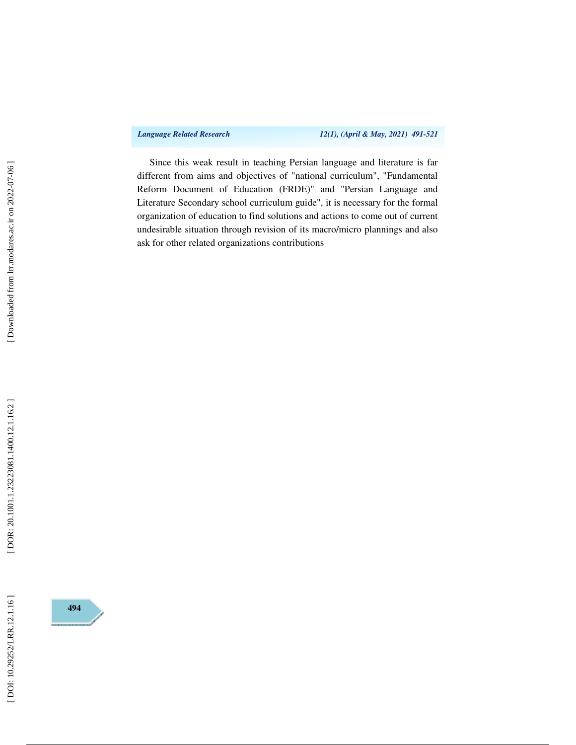*Language Related Research 12(1), (April & May, 2021) 491-521* 

Since this weak result in teaching Persian language and literature is far different from aims and objectives of "national curriculum", "Fundamental Reform Document of Education (FRDE)" and "Persian Language and Literature Secondary school curriculum guide", it is necessary for the formal organization of education to find solutions and actions to come out of current undesirable situation through revision of its macro/micro plannings and also ask for other related organizations contributions



[DOI: 10.29252/LRR.12.1.16]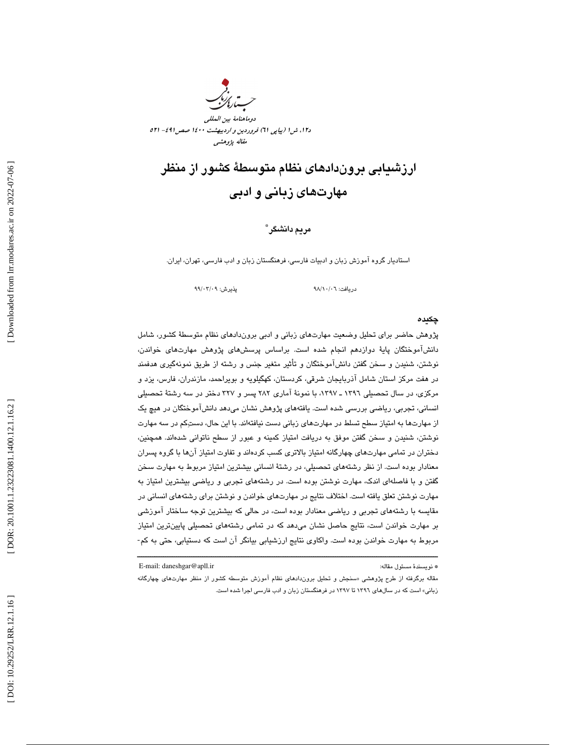

د،12 ش 1 (پياپي 61) فروردين و ارديبهشت 1400 صص491 - 521 مقاله پژوهشي

# ارزشيابي بروندادهاي نظام متوسطة كشور از منظر مهارتهاي زباني و ادبي

## مريم دانشگر \*

استاديار گروه آموزش زبان و ادبيات فارسي، فرهنگستان زبان و ادب فارسي، تهران، ايران.

دريافت: 06/ 10/ 98 پذيرش: 09/ 03/ 99

#### چكيده

پژوهش حاضر براي تحليل وضعيت مهارتهاي زباني و ادبي بروندادهاي نظام متوسطة كشور، شامل دانشآموختگان پاية دوازدهم انجام شده است. براساس پرسشهاي پژوهش مهارتهاي خواندن، نوشتن، شنيدن و سخن گفتن دانشآموختگان و تأثير متغير جنس و رشته از طريق نمونهگيري هدفمند در هفت مركز استان شامل آذربايجان شرقي، كردستان، كهگيلويه و بويراحمد، مازندران، فارس، يزد و مركزي، در سال تحصيلي ١٣٩٦ ـ ١٣٩٧، با نمونهٔ آماري ٢٨٢ پسر و ٣٢٧ دختر در سه رشتهٔ تحصيلي انساني، تجربي، رياضي بررسي شده است. يافتههاي پژوهش نشان ميدهد دانشآموختگان در هيچ يك از مهارتها به امتياز سطح تسلط در مهارتهاي زباني دست نيافتهاند. با اين حال، دستكم در سه مهارت نوشتن، شنيدن و سخن گفتن موفق به دريافت امتياز كمينه و عبور از سطح ناتواني شدهاند. همچنين، دختران در تمامی مهارتهای چهارگانه امتیاز بالاتری کسب کردهاند و تفاوت امتیاز آنها با گروه پسران معنادار بوده است. از نظر رشتههاي تحصيلي، در رشتة انساني بيشترين امتياز مربوط به مهارت سخن گفتن و با فاصلهاي اندك، مهارت نوشتن بوده است. در رشتههاي تجربي و رياضي بيشترين امتياز به مهارت نوشتن تعلق يافته است. اختلاف نتايج در مهارتهاي خواندن و نوشتن براي رشتههاي انساني در مقايسه با رشتههاي تجربي و رياضي معنادار بوده است، در حالي كه بيشترين توجه ساختار آموزشي بر مهارت خواندن است، نتايج حاصل نشان ميدهد كه در تمامي رشتههاي تحصيلي پايينترين امتياز مربوط به مهارت خواندن بوده است. واكاوي نتايج ارزشيابي بيانگر آن است كه دستيابي، حتي به كم-

\* نويسندهٔ مسئول مقاله: " E-mail: daneshgar@apll.ir

مقاله برگرفته از طرح پژوهشی «سنجش و تحلیل برون‹دادهای نظام اموزش متوسطه کشور از منظر مهارتهای چهارگانه زباني» است كه در سالهاي 1396 تا 1397 در فرهنگستان زبان و ادب فارسي اجرا شده است.

ــــــــــــــــــــــــــــــــــــــــــــــــــــــــــــــــــــــــــــــــــــــــــــــــــــــــــــــــــــــــــــــــــــــــــ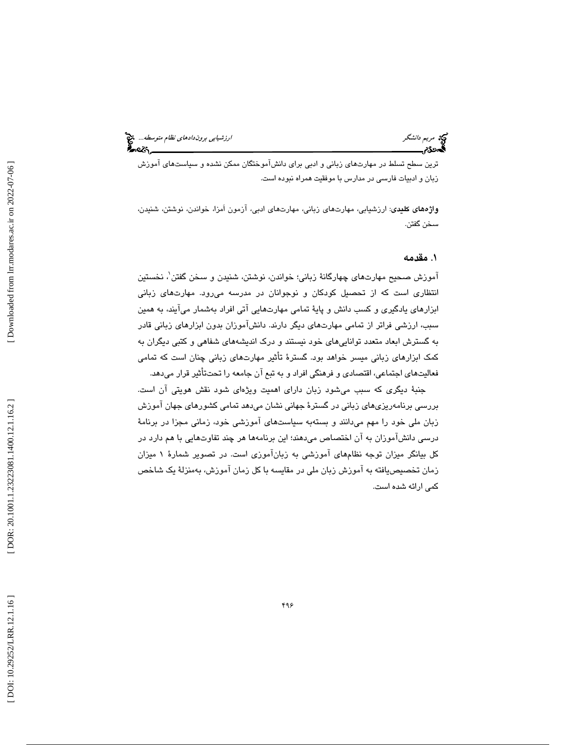ترين سطح تسلط در مهارتهاي زباني و ادبي براي دانشآموختگان ممكن نشده و سياستهاي آموزش زبان و ادبيات فارسي در مدارس با موفقيت همراه نبوده است.

واژههاي كليدي: ارزشيابي، مهارتهاي زباني، مهارتهاي ادبي، آزمون اَمزا، خواندن، نوشتن، شنيدن، سخن گفتن.

### 1. مقدمه

آموزش صحيح مهارتهاي چهارگانة زباني؛ خواندن، نوشتن، شنيدن و سخن گفتن 1 ، نخستين نتظاري است كه از تحصيل كودكان و نوجوانان در مدرسه ميرود. مهارتهاي زباني ا ابزارهاي يادگيري و كسب دانش و پاية تمامي مهارتهايي آتي افراد بهشمار ميآيند، به همين سبب، ارزشي فراتر از تمامي مهارتهاي ديگر دارند. دانشآموزان بدون ابزارهاي زباني قادر به گسترش ابعاد متعدد تواناييهاي خود نيستند و درك انديشههاي شفاهي و كتبي ديگران به كمك ابزارهاي زباني ميسر خواهد بود. گسترة تأثير مهارتهاي زباني چنان است كه تمامي فعاليتهاي اجتماعي، اقتصادي و فرهنگي افراد و به تبع آن جامعه را تحتتأثير قرار ميدهد.

جنبة ديگري كه سبب ميشود زبان داراي اهميت ويژهاي شود نقش هويتي آن است. بررسي برنامهريزيهاي زباني در گسترة جهاني نشان ميدهد تمامي كشورهاي جهان آموزش زبان ملي خود را مهم ميدانند و بستهبه سياستهاي آموزشي خود، زماني مجزا در برنامة درسي دانشآموزان به آن اختصاص ميدهند؛ اين برنامهها هر چند تفاوتهايي با هم دارد در كل بيانگر ميزان توجه نظامهاي آموزشي به زبانآ موزي است. در تصوير شمارة 1 ميزان زمان تخصيصيافته به آموزش زبان ملي در مقايسه با كل زمان آموزش، بهمنزلة يك شاخص كمي ارائه شده است.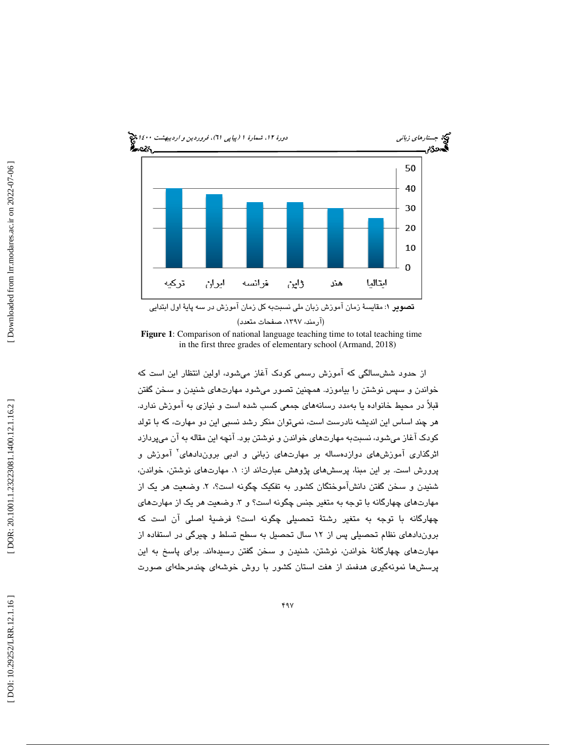

**Figure 1**: Comparison of national language teaching time to total teaching time in the first three grades of elementary school (Armand, 2018)

از حدود ششسالگي كه آموزش رسمي كودك آغاز ميشود، اولين انتظار اين است كه خواندن و سپس نوشتن را بياموزد. همچنين تصور ميشود مهارتهاي شنيدن و سخن گفتن قبلاً در محيط خانواده يا بهمدد رسانههاي جمعي كسب شده است و نيازي به آموزش ندارد. هر چند اساس اين انديشه نادرست است، نميتوان منكر رشد نسبي اين دو مهارت، كه با تولد كودك آغاز ميشود، نسبتبه مهارتهاي خواندن و نوشتن بود. آنچه اين مقاله به آن ميپردازد اثرگذاری آموزشهای دوازدهساله بر مهارتهای زبانی و ادبی بروندادهای<sup>۲</sup> آموزش و پرورش است. بر اين مبنا، پرسشهای پژوهش عبارتاند از: ۱. مهارتهای نوشتن، خواندن، شنيدن و سخن گفتن دانش!موختگان كشور به تفكيک چگونه است؟، ۲. وضعيت هر يک از مهارتهای چهارگانه با توجه به متغیر جنس چگونه است؟ و ۳. وضعیت هر یک از مهارتهای چهارگانه با توجه به متغير رشتة تحصيلي چگونه است؟ فرضية اصلي آن است كه بروندادهاي نظام تحصيلي پس از 12 سال تحصيل به سطح تسلط و چيرگي در استفاده از مهارتهاي چهارگانة خواندن، نوشتن، شنيدن و سخن گفتن رسيدهاند. براي پاسخ به اين پرسشها نمونهگيري هدفمند از هفت استان كشور با روش خوشهاي چندمرحلهاي صورت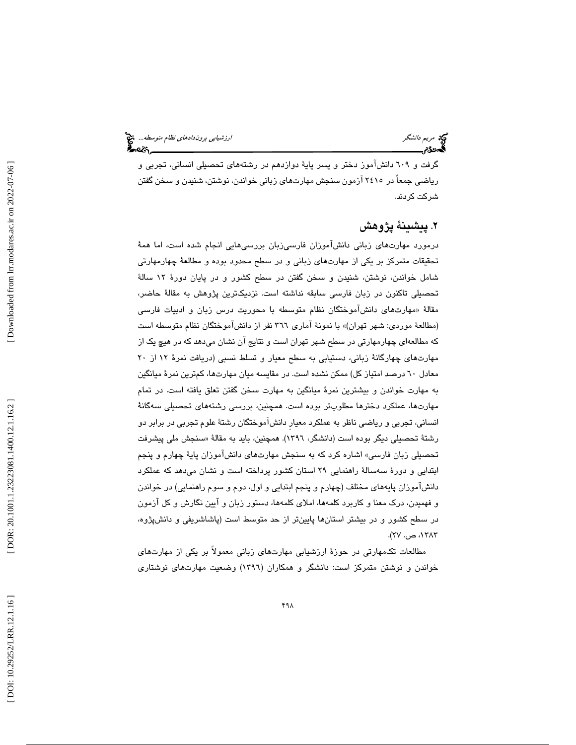گرفت و 609 دانشآموز دختر و پسر پاية دوازدهم در رشتههاي تحصيلي انساني، تجربي و رياضي جمعاً در 2415 آزمون سنجش مهارتهاي زباني خواندن، نوشتن، شنيدن و سخن گفتن شركت كردند.

## 2. پيشينة پژوهش

درمورد مهارتهاي زباني دانشآموزان فارسيزبان بررسيهايي انجام شده است، اما همة تحقيقات متمركز بر يكي از مهارتهاي زباني و در سطح محدود بوده و مطالعة چهارمهارتي شامل خواندن، نوشتن، شنيدن و سخن گفتن در سطح كشور و در پايان دورة 12 سالة تحصيلي تاكنون در زبان فارسي سابقه نداشته است. نزديكترين پژوهش به مقالة حاضر، مقالهٔ «مهارتها*ی* دانش۱موختگان نظام متوسطه با محوریت درس زبان و ادبیات فارسی (مطالعهٔ موردی: شهر تهران)» با نمونهٔ آماری ۳٦٦ نفر از دانشآموختگان نظام متوسطه است كه مطالعهاي چهارمهارتي در سطح شهر تهران است و نتايج آن نشان مي دهد كه در هيچ يك از مهارتهاي چهارگانة زباني، دستيابي به سطح معيار و تسلط نسبي (دريافت نمرة 12 از 20 معادل 60 درصد امتياز كل) ممكن نشده است. در مقايسه ميان مهارتها، كم ترين نمرة ميانگين به مهارت خواندن و بيشترين نمرة ميانگين به مهارت سخن گفتن تعلق يافته است. در تمام مهارتها، عملكرد دخترها مطلوبتر بوده است. همچنين، بررسي رشتههاي تحصيلي سهگانة انساني، تجربي و رياضي ناظر به عملكرد معيارِ دانشآموختگان رشتة علوم تجربي در برابر دو رشتهٔ تحصیلی دیگر بوده است (دانشگر، ۱۳۹۲). همچنین، باید به مقالهٔ «سنجش ملی پیشرفت تحصيلي زبان فارسي» اشاره كرد كه به سنجش مهارتهاي دانشآموزان پايهٔ چهارم و پنجم ابتدايي و دورهٔ سهسالهٔ راهنمايي ۲۹ استان كشور پرداخته است و نشان ميدهد كه عملكرد دانشآموزان پايههاي مختلف (چهارم و پنجم ابتدايي و اول، دوم و سوم راهنمايي) در خواندن و فهميدن، درك معنا و كاربرد كلمهها، املاي كلمهها، دستور زبان و آيين نگارش و كل آزمون در سطح كشور و در بيشتر استانها پايينتر از حد متوسط است (پاشاشريفي و دانشپژوه، ۱۳۸۳، ص. ۲۷).

مطالعات تكمهارتي در حوزة ارزشيابي مهارتهاي زباني معمولاً بر يكي از مهارتهاي خواندن و نوشتن متمركز است: دانشگر و همكاران (1396) وضعيت مهارتهاي نوشتاري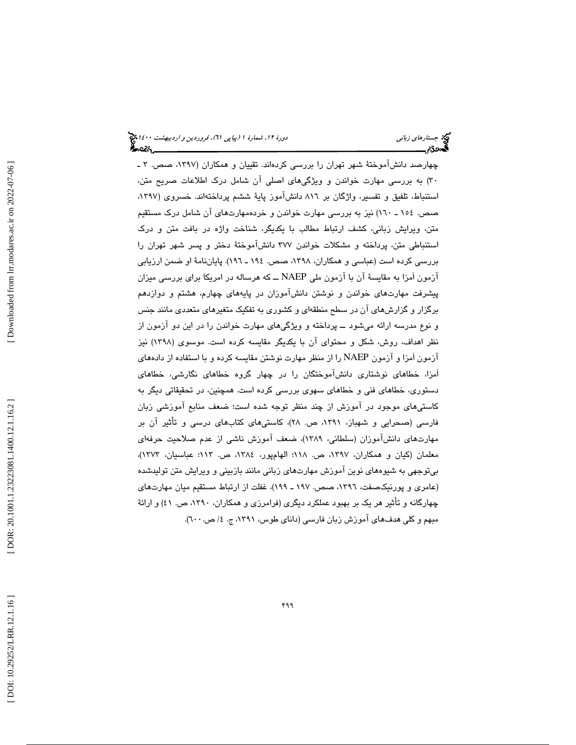چهارصد دانشآموختهٔ شهر تهران را بررسی كردهاند. تقییان و همكاران (۱۳۹۷، صص. ۳ ـ 30) به بررسي مهارت خواندن و ويژگيهاي اصلي آن شامل درك اطلاعات صريح متن، استنباط، تلفيق و تفسير، واژگان بر 816 دانشآموز پاية ششم پرداختهاند. خسروي (،1397 صص. 154 ـ 160) نيز به بررسي مهارت خواندن و خردهمهارتهاي آن شامل درك مستقيم متن، ويرايش زباني، كشف ارتباط مطالب با يكديگر، شناخت واژه در بافت متن و درك استنباطي متن، پرداخته و مشكلات خواندن 377 دانشآموختة دختر و پسر شهر تهران را بررسی کرده است (عباسی و همکاران، ۱۳۹۸، صص. ۱۹۶ ـ ۱۹۲). پایاننامهٔ او ضمن ارزیابی آزمون اَمزا به مقايسة آن با آزمون ملي NAEP ــ كه هرساله در امريكا براي بررسي ميزان پيشرفت مهارتهاي خواندن و نوشتن دانشآموزان در پايههاي چهارم، هشتم و دوازدهم برگزار و گزارشهاي آن در سطح منطقهاي و كشوري به تفكيك متغيرهاي متعددي مانند جنس و نوع مدرسه ارائه ميشود ــ پرداخته و ويژگيهاي مهارت خواندن را در اين دو آزمون از نظر اهداف، روش، شكل و محتواي آن با يكديگر مقايسه كرده است. موسوي (1398) نيز آزمون اَمزا و آزمون NAEP را از منظر مهارت نوشتن مقايسه كرده و با استفاده از دادههاي اَمزا، خطاهاي نوشتاري دانشآموختگان را در چهار گروه خطاهاي نگارشي، خطاهاي دستوري، خطاهاي فني و خطاهاي سهوي بررسي كرده است. همچنين، در تحقيقاتي ديگر به كاستيهاي موجود در آموزش از چند منظر توجه شده است؛ ضعف منابع آموزشي زبان فارسي (صحرايي و شهباز، ،1391 ص. 28)، كاستيهاي كتابهاي درسي و تأثير آن بر مهارتهاي دانشآموزان (سلطاني، 1389)، ضعف آموزش ناشي از عدم صلاحيت حرفهاي معلمان (كيان و همكاران، ١٣٩٧، ص. ١١٨؛ الهامپور، ١٣٨٤، ص. ١١٣؛ عباسيان، ١٣٧٣)، بيتوجهي به شيوههاي نوين آموزش مهارتهاي زباني مانند بازبيني و ويرايش متن توليدشده (عامری و پورنيكصفت، ١٣٩٦، صص. ١٩٧ ـ ١٩٩)، غفلت از ارتباط مستقيم ميان مهارتهای چهارگانه و تأثير هر يك بر بهبود عملكرد ديگري (فرامرزي و همكاران، ،1390 ص. ) 41 و ارائة مبهم و كلي هدف،هاي اموزش زبان فارسي (داناي طوس، ١٣٩١، ج. ٤/ ص. ٦٠٠).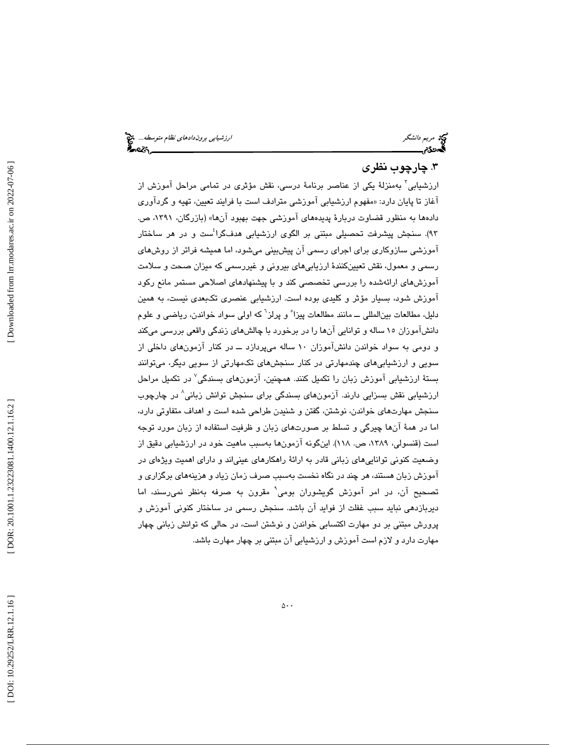## 3. چارچوب نظري

ارزشیابی<sup>۳</sup> بهمنزلهٔ یکی از عناصر برنامهٔ درسی، نقش مؤثری در تمامی مراحل آموزش از اغاز تا پايان دارد: «مفهوم ارزشيابي اموزشي مترادف است با فرايند تعيين، تهيه و گرداوري دادهها به منظور قضاوت دربارهٔ پدیدههای آموزشی جهت بهبود آنها» (بازرگان، ۱۳۹۱، ص. 93). سنجش پيشرفت تحصيلي مبتني بر الگوي ارزشيابي هدفگرا 4 ست و در هر ساختار آموزشي سازوكاري براي اجراي رسمي آن پيشبيني ميشود، اما هميشه فراتر از روشهاي رسمي و معمول، نقش تعيينكنندة ارزيابيهاي بيروني و غيررسمي كه ميزان صحت و سلامت آموزشهاي ارائهشده را بررسي تخصصي كند و با پيشنهادهاي اصلاحي مستمر مانع ركود آموزش شود، بسيار مؤثر و كليدي بوده است. ارزشيابي عنصري تكبعدي نيست، به همين دليل، مطالعات بين|لمللي ـــ مانند مطالعات پيزا ْ و پرلز<sup>٦</sup> كه اولي سواد خواندن، رياضي و علوم دانشآموزان 15 ساله و توانايي آنها را در برخورد با چالشهاي زندگي واقعي بررسي ميكند و دومي به سواد خواندن دانشآموزان 10 ساله ميپردازد ــ در كنار آزمونهاي داخلي از سويي و ارزشيابيهاي چندمهارتي در كنار سنجشهاي تكمهارتي از سويي ديگر، ميتوانند بستة ارزشيابي آموزش زبان را تكميل كنند. همچنين، آزمونهاي بسندگي 7 در تكميل مراحل ارزشيابي نقش بسزايي دارند. آزمونهاي بسندگي براي سنجش توانش زباني 8 در چارچوب سنجش مهارتهاي خواندن، نوشتن، گفتن و شنيدن طراحي شده است و اهداف متفاوتي دارد، اما در همة آنها چيرگي و تسلط بر صورتهاي زبان و ظرفيت استفاده از زبان مورد توجه است (قنسولي، ،1389 ص. 118). اينگونه آزمونها بهسبب ماهيت خود در ارزشيابي دقيق از وضعيت كنوني تواناييهاي زباني قادر به ارائة راهكارهاي عينياند و داراي اهميت ويژهاي در آموزش زبان هستند، هر چند در نگاه نخست بهسبب صرف زمان زياد و هزينههاي برگزاري و تصحيح آن، در امر آموزش گويشوران بومي<sup>٬</sup> مقرون به صرفه بهنظر نمىرسند، اما ديربازدهي نبايد سبب غفلت از فوايد آن باشد. سنجش رسمي در ساختار كنوني آموزش و پرورش مبتني بر دو مهارت اكتسابي خواندن و نوشتن است، در حالي كه توانش زباني چهار مهارت دارد و لازم است آموزش و ارزشيابي آن مبتني بر چهار مهارت باشد.

 [\[ DOI: 10.29252/LRR.12.1.16 \]](http://dx.doi.org/10.29252/LRR.12.1.16) [\[ DOR: 20.1001.1.23223081.1400.12.1.16.](https://dorl.net/dor/20.1001.1.23223081.1400.12.1.16.2)2 ] [\[ Downloaded from lrr.modares.ac.ir on 20](https://lrr.modares.ac.ir/article-14-38316-fa.html)22-07-06 ] Downloaded from lrr.modares.ac.ir on 2022-07-06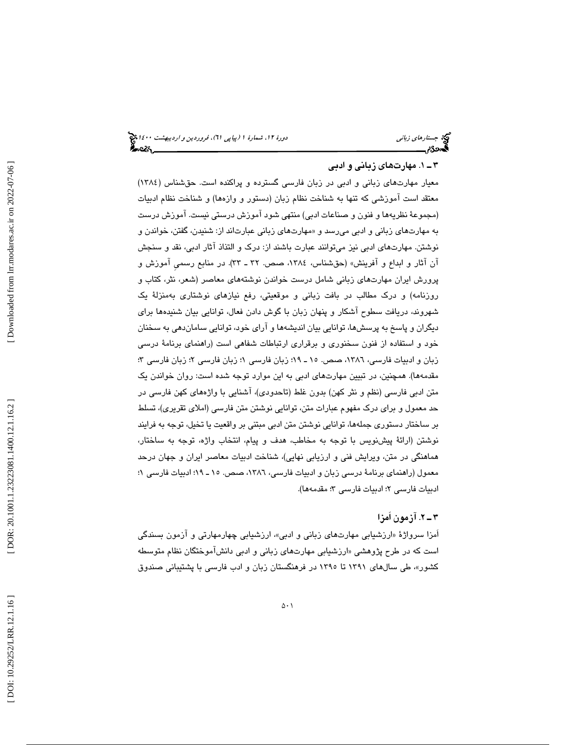## 1.ـ 3 مهارتهاي زباني و ادبي

معيار مهارتهاي زباني و ادبي در زبان فارسي گسترده و پراكنده است. حقشناس (1384) معتقد است آموزشي كه تنها به شناخت نظام زبان (دستور و وازهها) و شناخت نظام ادبيات (مجموعة نظريهها و فنون و صناعات ادبي) منتهي شود آموزش درستي نيست. آموزش درست به مهارتهاي زباني و ادبي ميرسد و «مهارتهاي زباني عبارتاند از: شنيدن، گفتن، خواندن و نوشتن. مهارتهاي ادبي نيز ميتوانند عبارت باشند از: درك و التذاذ آثار ادبي، نقد و سنجش آن آثار و ابداع و آفرينش» (حقشناس، ١٣٨٤، صص. ٣٢ ـ ٣٣). در منابع رسمي آموزش و پرورش ايران مهارتهاي زباني شامل درست خواندن نوشتههاي معاصر (شعر، نثر، كتاب و روزنامه) و درک مطالب در بافت زباني و موقعيتي، رفع نيازهاي نوشتاري بهمنزلة يک شهروند، دريافت سطوح آشكار و پنهان زبان با گوش دادن فعال، توانايي بيان شنيدهها براي ديگران و پاسخ به پرسشها، توانايي بيان انديشهها و آراي خود، توانايي ساماندهي به سخنان خود و استفاده از فنون سخنوري و برقراري ارتباطات شفاهي است (راهنماي برنامة درسي زبان و ادبیات فارسی، ۱۳۸٦، صص. ۱۰ ـ ۱۹؛ زبان فارسی ۱؛ زبان فارسی ۳؛ زبان فارسی ۳؛ مقدمهها). همچنين، در تبيين مهارتهاي ادبي به اين موارد توجه شده است: روان خواندن يك متن ادبي فارسي (نظم و نثر كهن) بدون غلط (تاحدودي)، آشنايي با واژههاي كهن فارسي در حد معمول و براي درك مفهوم عبارات متن، توانايي نوشتن متن فارسي (املاي تقريري)، تسلط بر ساختار دستوري جملهها، توانايي نوشتن متن ادبي مبتني بر واقعيت يا تخيل، توجه به فرايند نوشتن (ارائة پيشنويس با توجه به مخاطب، هدف و پيام، انتخاب واژه، توجه به ساختار، هماهنگي در متن، ويرايش فني و ارزيابي نهايي)، شناخت ادبيات معاصر ايران و جهان درحد معمول (راهنماي برنامة درسي زبان و ادبيات فارسي، ،1386 صص. ـ 15 19؛ ادبيات فارسي ؛ 1 ادبيات فارسى ٢؛ ادبيات فارسى ٣؛ مقدمهها).

## 2ـ 3 . آزمون اَمزا

امزا سرواژهٔ «ارزشیابی مهارتهای زبانی و ادبی»، ارزشیابی چهارمهارتی و ازمون بسندگی است كه در طرح پژوهشي «ارزشيابي مهارتهاي زباني و ادبي دانش!موختگان نظام متوسطه کشور»، طی سالهای ۱۳۹۱ تا ۱۳۹۰ در فرهنگستان زبان و ادب فارسی با پشتیبانی صندوق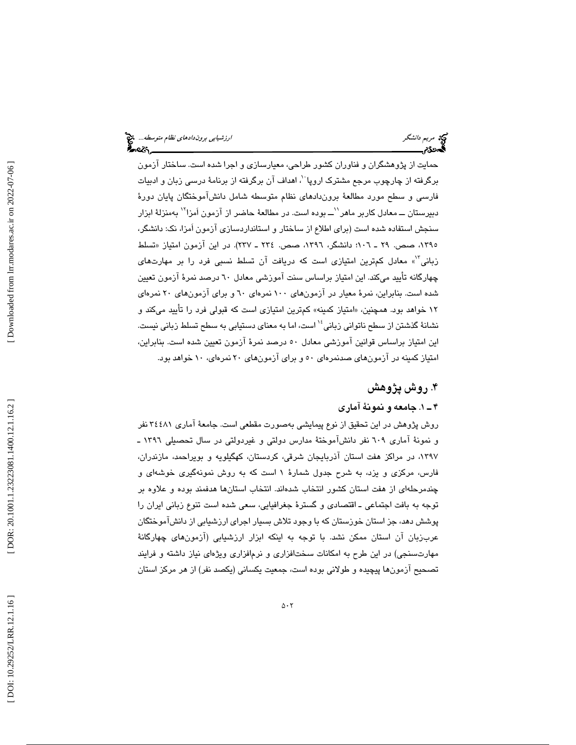حمايت از پژوهشگران و فناوران كشور طراحي، معيارسازي و اجرا شده است. ساختار آزمون برگرفته از چارچوب مرجع مشترک اروپا<sup>ن</sup>، اهداف آن برگرفته از برنامهٔ درسی زبان و ادبیات فارسي و سطح مورد مطالعة بروندادهاي نظام متوسطه شامل دانشآموختگان پايان دورة دبیرستان ـــ معادل کاربر ماهر <sup>\'</sup>ـــ بوده است. در مطالعهٔ حاضر از آزمون اَمزا <sup>۱۲</sup> بهمنزلهٔ ابزار سنجش استفاده شده است (براي اطلاع از ساختار و استانداردسازي آزمون اَمزا، نك: دانشگر، ۱۳۹۰، صص. ۲۹ ـ ۱۰۲: دانشگر، ۱۳۹۲، صص. ۲۲٤ ـ ۲۳۷). در این ازمون امتیاز «تسلط زبانی"<sup>»</sup> معادل كمترين امتيازی است كه دريافت آن تسلط نسبی فرد را بر مهارتهای چهارگانه تأييد ميكند. اين امتياز براساس سنت آموزشي معادل 60 درصد نمرة آزمون تعيين شده است. بنابراين، نمرة معيار در آزمونهاي 100 نمرهاي 60 و براي آزمونهاي 20 نمرهاي ۱۲ خواهد بود. همچنين، «امتياز كمينه» كم¤رين امتيازي است كه قبولي فرد را تأييد ميكند و نشانهٔ گذشتن از سطح ناتواني زباني <sup>۱٬</sup> است، اما به معناي دستيابي به سطح تسلط زباني نيست. اين امتياز براساس قوانين آموزشي معادل 50 درصد نمرة آزمون تعيين شده است. بنابراين، امتياز كمينه در آزمونهاي صدنمرهاي 50 و براي آزمونهاي 20 نمرهاي، 10 خواهد بود.

## 4. روش پژوهش

### 1ـ 4 . جامعه و نمونة آماري

روش پژوهش در اين تحقيق از نوع پيمايشي بهصورت مقطعي است. جامعة آماري 34481 نفر و نمونة آماري 609 نفر دانشآموختة مدارس دولتي و غيردولتي در سال تحصيلي 1396 ـ ،1397 در مراكز هفت استان آذربايجان شرقي، كردستان، كهگيلويه و بويراحمد، مازندران، فارس، مركزي و يزد، به شرح جدول شمارة 1 است كه به روش نمونهگيري خوشهاي و چندمرحلهاي از هفت استان كشور انتخاب شدهاند. انتخاب استانها هدفمند بوده و علاوه بر توجه به بافت اجتماعي ـ اقتصادي و گسترة جغرافيايي، سعي شده است تنوع زباني ايران را پوشش دهد، جز استان خوزستان كه با وجود تلاش بسيار اجراي ارزشيابي از دانشآموختگان عربزبان آن استان ممكن نشد. با توجه به اينكه ابزار ارزشيابي (آزمونهاي چهارگانة مهارتسنجي) در اين طرح به امكانات سختافزاري و نرمافزاري ويژهاي نياز داشته و فرايند تصحيح آزمونها پيچيده و طولاني بوده است، جمعيت يكساني (يكصد نفر) از هر مركز استان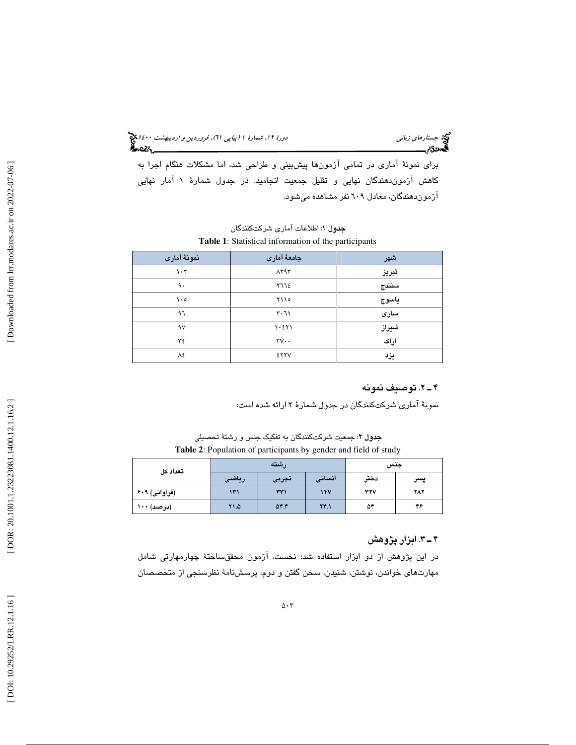جستار*هاي زباني هي المرديبهشت 14*00 المرديبي في المرديب المرديبي المرديبهشت 1400 هجرا بعد المرديب المرديب

براي نمونة آماري در تمامي آزمونها پيشبيني و طراحي شد، اما مشكلات هنگام اجرا به کاهش ازموندهندگان نهايی و تقليل جمعيت انجاميد. در جدول شمارهٔ ۱ امار نهايی آزموندهندگان، معادل 609 نفر مشاهده ميشود .

ج**دول** ۱: اطلاعات آماری شرکتکنندگان **Table 1**: Statistical information of the participants

| نمونهٔ آماری      | جامعهٔ آماری                | شهر   |
|-------------------|-----------------------------|-------|
| $\eta \cdot \tau$ | $\Lambda$ Y۹۳               | تبريز |
| ٩.                | 7772                        | سنندج |
| $\lambda \cdot c$ | ۲۱۱۰                        | ياسوج |
| ۹٦                | $\mathsf{r}\cdot\mathsf{r}$ | سارى  |
| $\gamma$          | 1.511                       | شيراز |
| ٣٤                | $rv \cdot$                  | اراک  |
| ٨٤                | <b>ETTV</b>                 | يزد   |

## 2ـ 4 . توصيف نمونه

نمونة آماري شركتكنندگان در جدول شمارة 2 ارائه شده است:

جدول ۲: جمعیت شرکتکنندگان به تفکیک جنس و رشتهٔ تحصیلی **Table 2**: Population of participants by gender and field of study

| تعداد كل      |       | , شته    | جىس    |      |            |
|---------------|-------|----------|--------|------|------------|
|               | رياضى | تجربى    | انسانی | دختر | پسر        |
| (فراوانی) ۶۰۹ | ۱۳۱   | ۳۳۱      | 14V    | ٣٢٧  | <b>787</b> |
| (درصد) ۱۰۰    | 71.0  | $\Delta$ | YY.1   | ۵۴   | ۴۶         |

## 3ـ 4 . ابزار پژوهش

در اين پژوهش از دو ابزار استفاده شد؛ نخست، آزمون محققساختة چهارمهارتي شامل مهارتهاي خواندن، نوشتن، شنيدن، سخن گفتن و دوم، پرسشنامة نظرسنجي از متخصصان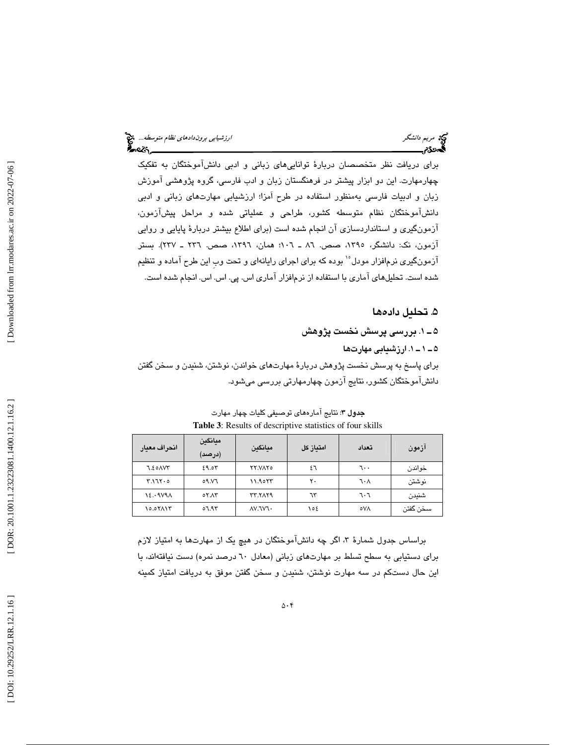براي دريافت نظر متخصصان دربارة تواناييهاي زباني و ادبي دانشآموختگان به تفكيك چهارمهارت. اين دو ابزار پيشتر در فرهنگستان زبان و ادب فارسي، گروه پژوهشي آموزش زبان و ادبيات فارسي بهمنظور استفاده در طرح اَمزا؛ ارزشيابي مهارتهاي زباني و ادبي دانشآموختگان نظام متوسطه كشور، طراحي و عملياتي شده و مراحل پيشآزمون، آزمونگيري و استانداردسازي آن انجام شده است (براي اطلاع بيشتر دربارة پايايي و روايي آزمون، نك: دانشگر، ،1395 صص. ـ 86 106؛ همان، ،1396 صص. 236 ـ 237). بستر آزمونگيري نرم|فزار مودل°<sup>۱</sup> بوده كه براي اجراي رايانهاي و تحت وبِ اين طرح آماده و تنظيم شده است. تحليلهاي آماري با استفاده از نرمافزار آماري اس. پي. اس. اس. انجام شده است.

۵. تحليل دادهها

1ـ 5 . بررسي پرسش نخست پژوهش 1ـ 1ـ 5 ها . ارزشيابي مهارت براي پاسخ به پرسش نخست پژوهش دربارة مهارتهاي خواندن، نوشتن، شنيدن و سخن گفتن دانشآموختگان كشور، نتايج آزمون چهارمهارتي بررسي ميشود.

| انحراف معيار    | ميانگين<br>(درصد) | ميانگين          | امتياز كل | تعداد | ازمون     |
|-----------------|-------------------|------------------|-----------|-------|-----------|
| 7.20 AVY        | 29.05             | <b>TY.VATO</b>   | ٤٦        | ٦٠٠   | خواندن    |
| $Y.17Y \cdot o$ | ٥٩.V٦             | 11.9057          | ٢٠        | ٦٠٨   | نوشتن     |
| 12.0001         | 07.17             | <b>TT. TAT9</b>  | ٦٣        | ٦٠٦   | شنيدن     |
| ۱۵.٥۲۸۱۳        | ۹۳.۱۰             | <b>AV. TVT .</b> | ۱٥٤       | ٥V٨   | سـخن گفتن |

**جدول ٣:** نتايج آمار هاي توصيفي كليات چهار مهارت **Table 3**: Results of descriptive statistics of four skills

براساس جدول شمارهٔ ۳، اگر چه دانش!موختگان در هیچ یک از مهارتها به امتیاز لازم براي دستيابي به سطح تسلط بر مهارتهاي زباني (معادل 60 درصد نمره) دست نيافتهاند، با اين حال دستكم در سه مهارت نوشتن، شنيدن و سخن گفتن موفق به دريافت امتياز كمينه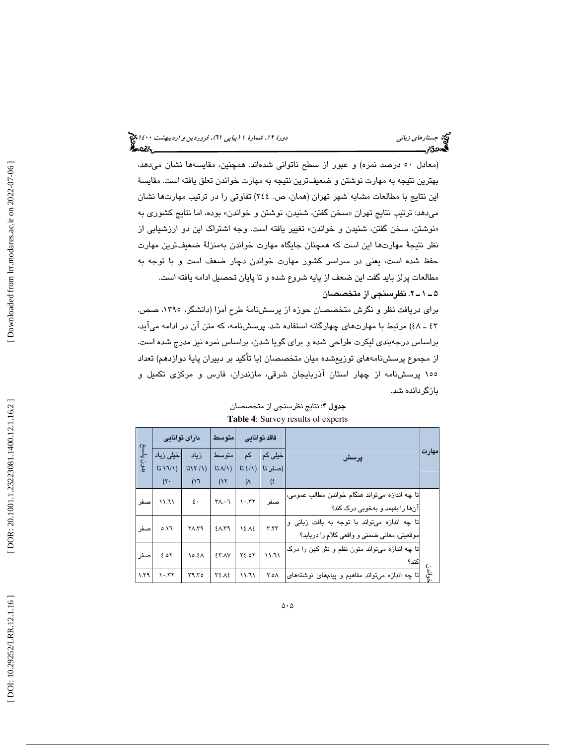(معادل 50 درصد نمره) و عبور از سطح ناتواني شدهاند. همچنين، مقايسهها نشان ميدهد، بهترين نتيجه به مهارت نوشتن و ضعيفترين نتيجه به مهارت خواندن تعلق يافته است. مقايسة اين نتايج با مطالعات مشابه شهر تهران (همان، ص. 244) تفاوتي را در ترتيب مهارتها نشان میدهد: ترتيب نتايج تهران «سـخن گفتن، شنيدن، نوشتن و خواندن» بوده، اما نتايج كشوری به نوشتن، سخن گفتن، شنيدن و خواندن» تغيير يافته است. وجه اشتراك اين دو ارزشيابي از » نظر نتيجة مهارتها اين است كه همچنان جايگاه مهارت خواندن بهمنزلة ضعيفترين مهارت حفظ شده است، يعني در سراسر كشور مهارت خواندن دچار ضعف است و با توجه به مطالعات پرلز بايد گفت اين ضعف از پايه شروع شده و تا پايان تحصيل ادامه يافته است. . 2ـ 1ـ 5 نظرسنجي از متخصصان

براي دريافت نظر و نگرش متخصصان حوزه از پرسشنامة طرح اَمزا (دانشگر، ،1395 صص. ـ 43 )48 مرتبط با مهارتهاي چهارگانه استفاده شد. پرسشنامه، كه متن آن در ادامه ميآيد، براساس درجهبندي ليكرت طراحي شده و براي گويا شدن، براساس نمره نيز مدرج شده است. از مجموع پرسشنامههاي توزيعشده ميان متخصصان (با تأكيد بر دبيران پاية دوازدهم) تعداد 155 پرسشنامه از چهار استان آذربايجان شرقي، مازندران، فارس و مركزي تكميل و بازگردانده شد.

|           |                                   | دارای توانایی       | امتوسط             |           | فاقد توانائي |                                                |             |
|-----------|-----------------------------------|---------------------|--------------------|-----------|--------------|------------------------------------------------|-------------|
| بدون پاسخ | خیلی زیاد                         | زىاد                | متو سط             | کم        | خیلی کم      | يرسش                                           | مهارت       |
|           | 511)                              | 517/1)              | $L(\lambda)$ تا    | E(1)      | (صفر تا      |                                                |             |
|           | $(\mathsf{Y} \cdot$               | (17)                | (15)               | $(\wedge$ | (६           |                                                |             |
| صىفر      | 11.71                             | $\mathfrak{c}\cdot$ | $Y \wedge \cdot Y$ | 1.57      | صفر          | تا چه اندازه میتواند هنگام خواندن مطالب عمومی، |             |
|           |                                   |                     |                    |           |              | انها را بفهمد و بهخوبی درک کند؟                |             |
| صفر       | 0.17                              | ۲۸.۳۹               | 20.59              | 12.12     | Y.YY         | تا ڇه اندازه مي تواند با توجه به بافت زباني و  |             |
|           |                                   |                     |                    |           |              | موقعیتی، معانی ضمنی و واقعی کلام را دریابد؟    |             |
| صفر       | 2.05                              | 10.21               | <b>ET.AV</b>       | 72.07     | 11.71        | تا چه اندازه ميتواند متون نظم و نثر کهن را درک |             |
|           |                                   |                     |                    |           |              | کند؟                                           |             |
| 1.79      | $\lambda \cdot \lambda + \lambda$ | ۳۹.۳٥               | ٣٤.٨٤              | ۱۱.٦۱     | ۸ه.۲         | تا چه اندازه میتواند مفاهیم و پیامهای نوشتههای | ھ اندن<br>ح |

جدول ۴: نتايج نظرسنجي از متخصصان **Table 4**: Survey results of experts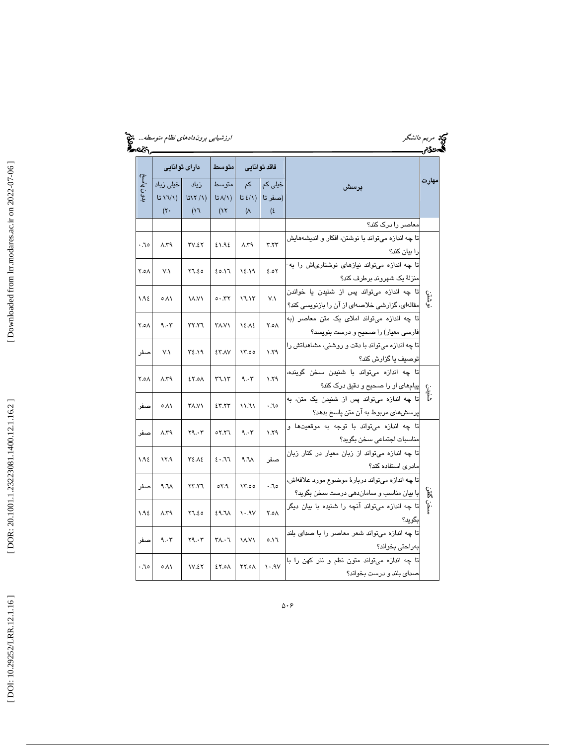| <u>ક્રિન્</u> ટર,_ | <i>ارزشیابی بروندادهای نظام متوسطه</i> چ <mark>ک</mark> |                     |                               |                               |                    | که مریم <i>دانشگر</i><br><b>گمحد<i>گئ</i>ر</b>                                                                 |       |
|--------------------|---------------------------------------------------------|---------------------|-------------------------------|-------------------------------|--------------------|----------------------------------------------------------------------------------------------------------------|-------|
|                    | دارای توانایی                                           |                     | متوسط                         | فاقد توانايي                  |                    |                                                                                                                | مهارت |
| ن پاسخ             | خیلی زیاد<br>511)                                       | زياد<br>L(Y / Y)    | متوسط<br>$L \wedge \wedge$ تا | کم<br>52/1)                   | خیلی کم<br>(صفر تا | يرسش                                                                                                           |       |
|                    | $(\mathsf{Y}$                                           | (17)                | (15)                          | $(\wedge$                     | $(\epsilon$        |                                                                                                                |       |
|                    |                                                         |                     |                               |                               |                    | معاصر را درک کند؟                                                                                              |       |
| .70                | $\Lambda$ .۳۹                                           | <b>٣٧.٤٢</b>        | 21.92                         | $\Lambda$ .۳۹                 | Y. YY              | تا چه اندازه میتواند با نوشتن، افکار و اندیشههایش<br>را بیان کند؟                                              |       |
| Y.oA               | $V.\lambda$                                             | Y7.50               | ۶٥.۱٦                         | 18.19                         | 2.05               | تا چه اندازه میتواند نیازهای نوشتاریاش را به-<br>منزلهٔ یک شهروند برطرف کند؟                                   |       |
| 1.98               | 0.11                                                    | <b>17.71</b>        | 0.57                          | 17.17                         | $V.\lambda$        | تا چه اندازه میتواند پس از شنیدن یا خواندن<br>مقالهای، گزارشی خلاصهای از آن را بازنویسی کند؟                   | فشقن  |
| ۸ه.۲               | 9.55                                                    | <b>٣٢.٢٦</b>        | <b>TA.VY</b>                  | 18.18                         | Y.oA               | تا چه اندازه میتواند املای یک متن معاصر (به                                                                    |       |
| صفر                | $V.\lambda$                                             | ۳٤.١٩               | <b>ETAV</b>                   | 17.00                         | $\lambda$ .79      | فارسی معیار) را صحیح و درست بنویسد؟<br>تا چه اندازه میتواند با دقت و روشنی، مشاهداتش را<br>توصيف يا گزارش كند؟ |       |
| Y.oA               | $\Lambda$ .۳۹                                           | 2Y.0A               | Y7.1Y                         | 9.55                          | 1.79               | تا چه اندازه میتواند با شنیدن سخن گوینده،<br>پیامهای او را صحیح و دقیق درک کند؟                                |       |
| صفر                | ۵۸۱                                                     | <b><i>TA.VY</i></b> | 55.57                         | ۱۱.٦۱                         | .70                | تا چه اندازه میتواند پس از شنیدن یک متن، به<br>پرسشهای مربوط به آن متن پاسخ بدهد؟                              |       |
| صفر                | $\Lambda$ .۳۹                                           | Y9.57               | 07.77                         | 9.55                          | 1.79               | .<br>تا چه اندازه می <mark>تواند با توجه به موقعیتها</mark> و<br>مناسبات اجتماعى سخن بگويد؟                    |       |
| 1.98               | ۱۲.۹                                                    | <b>٣٤.٨٤</b>        | 5.77                          | $\Lambda$ . $\Lambda$         | صفر                | تا چه اندازه میتواند از زبان معیار در کنار زبان<br>مادری استفاده کند؟                                          |       |
| صفر                | $\Lambda$ . $\Lambda$                                   | YY.Y                | 05.7                          | 17.00                         | $\cdot$ . $\cdot$  | تا چه اندازه میتواند دربارهٔ موضوع مورد علاقهاش،<br>با بیان مناسب و ساماندهی درست سخن بگوید؟                   | E     |
| 1.92               | $\Lambda$ .۳۹                                           | Y7.50               | <b>E9.71</b>                  | $\mathcal{N}$ . $\mathcal{N}$ | Y.o A              | تا چه اندازه میتواند آنچه را شنیده با بیان دیگر<br>بگويد؟                                                      | ļ.    |
| صفر                | 9.55                                                    | Y9.57               | $Y \wedge \cdot Y$            | <b>۱۸.V۱</b>                  | 0.17               | تا چه اندازه میتواند شعر معاصر را با صدای بلند<br>بەراحتى بخواند؟                                              |       |
| .70                | ۵۸۱                                                     | 1V.27               | 2Y.0A                         | <b>YY.0A</b>                  | $\mathcal{N}$ .    | تا چه اندازه میتواند متون نظم و نثر کهن را با<br>صدای بلند و درست بخواند؟                                      |       |

[Downloaded from ln: modares.ac.ir on 2022-07-06]  [\[ DOI: 10.29252/LRR.12.1.16 \]](http://dx.doi.org/10.29252/LRR.12.1.16) [\[ DOR: 20.1001.1.23223081.1400.12.1.16.](https://dorl.net/dor/20.1001.1.23223081.1400.12.1.16.2)2 ] [\[ Downloaded from lrr.modares.ac.ir on 20](https://lrr.modares.ac.ir/article-14-38316-fa.html)22-07-06 ]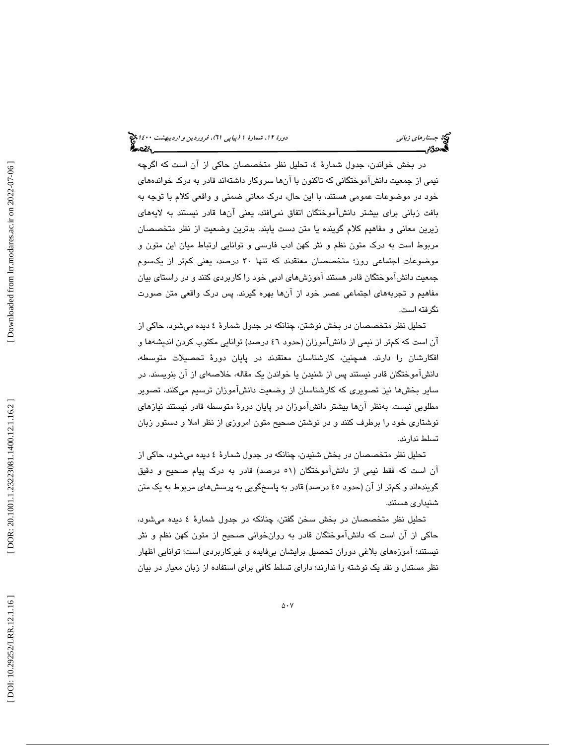در بخش خواندن، جدول شمارهٔ ٤، تحلیل نظر متخصصان حاکی از ان است که اگرچه نيمي از جمعيت دانشآموختگاني كه تاكنون با آنها سروكار داشتهاند قادر به درك خواندههاي خود در موضوعات عمومي هستند، با اين حال، درك معاني ضمني و واقعي كلام با توجه به بافت زباني براي بيشتر دانشآموختگان اتفاق نميافتد، يعني آنها قادر نيستند به لايههاي زيرين معاني و مفاهيم كلام گوينده يا متن دست يابند. بدترين وضعيت از نظر متخصصان مربوط است به درك متون نظم و نثر كهن ادب فارسي و توانايي ارتباط ميان اين متون و موضوعات اجتماعي روز؛ متخصصان معتقدند كه تنها 30 درصد، يعني كمتر از يكسوم جمعيت دانشآموختگان قادر هستند آموزشهاي ادبي خود را كاربردي كنند و در راستاي بيان مفاهيم و تجربههاي اجتماعي عصر خود از آنها بهره گيرند. پس درك واقعي متن صورت نگرفته است.

تحليل نظر متخصصان در بخش نوشتن، چنانكه در جدول شمارة 4 ديده ميشود، حاكي از آن است كه كمتر از نيمي از دانشآموزان (حدود 46 درصد) توانايي مكتوب كردن انديشهها و افكارشان را دارند. همچنين، كارشناسان معتقدند در پايان دورة تحصيلات متوسطه، دانشآموختگان قادر نيستند پس از شنيدن يا خواندن يك مقاله، خلاصهاي از آن بنويسند. در ساير بخشها نيز تصويري كه كارشناسان از وضعيت دانشآموزان ترسيم ميكنند، تصوير مطلوبي نيست. بهنظر آنها بيشتر دانشآموزان در پايان دورهٔ متوسطه قادر نيستند نيازهاي نوشتاري خود را برطرف كنند و در نوشتن صحيح متون امروزي از نظر املا و دستور زبان تسلط ندارند.

تحليل نظر متخصصان در بخش شنيدن، چنانكه در جدول شمارة 4 ديده ميشود، حاكي از آن است كه فقط نيمي از دانشآموختگان (٥١ درصد) قادر به درک پيام صحيح و دقيق گويندهاند و كمتر از آن (حدود 45 درصد) قادر به پاسخگويي به پرسشهاي مربوط به يك متن شنيداري هستند.

تحليل نظر متخصصان در بخش سخن گفتن، چنانكه در جدول شمارة 4 ديده ميشود، حاكي از آن است كه دانشآموختگان قادر به روانخواني صحيح از متون كهن نظم و نثر نيستند؛ آموزههاي بلاغي دوران تحصيل برايشان بيفايده و غيركاربردي است؛ توانايي اظهار نظر مستدل و نقد يك نوشته را ندارند؛ داراي تسلط كافي براي استفاده از زبان معيار در بيان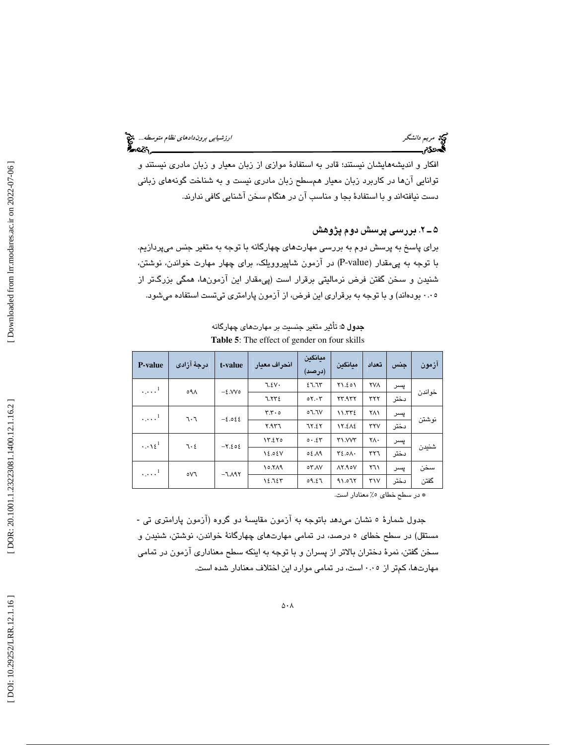افكار و انديشههايشان نيستند؛ قادر به استفادة موازي از زبان معيار و زبان مادري نيستند و توانايي آنها در كاربرد زبان معيار همسطح زبان مادري نيست و به شناخت گونههاي زباني دست نيافتهاند و با استفادة بجا و مناسب آن در هنگام سخن آشنايي كافي ندارند.

2ـ 5 . بررسي پرسش دوم پژوهش

براي پاسخ به پرسش دوم به بررسي مهارتهاي چهارگانه با توجه به متغير جنس ميپردازيم. با توجه به پيمقدار (value-P ( در آزمون شاپيروويلك، براي چهار مهارت خواندن، نوشتن، شنيدن و سخن گفتن فرض نرماليتي برقرار است (پيمقدار اين آزمونها، همگي بزرگتر از 0.05 بودهاند) و با توجه به برقراري اين فرض، از آزمون پارامتري تيتست استفاده ميشود.

| <b>P-value</b>          | درجهٔ آزادی                  | t-value  | انحراف معيار | ميانگين<br>(درصد) | ميانكين              | تعداد        | جنس           | آزمون  |     |  |
|-------------------------|------------------------------|----------|--------------|-------------------|----------------------|--------------|---------------|--------|-----|--|
| $\ldots$ <sup>1</sup>   | ٥٩٨                          | $-2.000$ | 7.2V         | 27.75             | Y1.201               | <b>YVA</b>   | پسر           |        |     |  |
|                         |                              |          | 7.772        | $0Y \cdot Y$      | YY.9YY               | ٣٢٢          | دختر          | خواندن |     |  |
|                         | $\ldots$ <sup>1</sup><br>7.7 |          | $-2.022$     | $Y.Y \circ$       | ٦.٦٧ه                | 11.772       | ۲۸۱           | پسر    |     |  |
|                         |                              |          | Y.9Y         | 78.27             | 17.212               | <b>TYV</b>   | دختر          | نوشتن  |     |  |
| $\cdots$ \ $\epsilon^1$ | 7.5                          |          |              | $-7.502$          | 17.270               | 0.51         | <b>TI.VVT</b> | ٢٨٠    | پسر |  |
|                         |                              |          | 18.08V       | ٨٩.٥٤             | $Y\S.0 \wedge \cdot$ | ٣٢٦          | دختر          | شنيدن  |     |  |
| $\ldots$ <sup>1</sup>   |                              | $-T.A97$ | 10.719       | <b>07.AV</b>      | $\Lambda Y.90V$      | ۲٦۱          | پسر           | سخن    |     |  |
|                         | ٥٧٦                          |          | 12.725       | 09.27             | 91.075               | $\mathbf{y}$ | دختر          | گفتن   |     |  |

جدول ۵: تأثير متغير جنسيت بر مهارتهاي چهارگانه **Table 5**: The effect of gender on four skills

\* در سطح خطا*ی* ٥٪ معنادار است.

جدول شمارهٔ ٥ نشان مىدهد باتوجه به آزمون مقايسهٔ دو گروه (آزمون پارامتری تی -مستقل) در سطح خطاي 5 درصد، در تمامي مهارتهاي چهارگانة خواندن، نوشتن، شنيدن و سخن گفتن، نمرة دختران بالاتر از پسران و با توجه به اينكه سطح معناداري آزمون در تمامي مهارتها، كمتر از 0.05 است، در تمامي موارد اين اختلاف معنادار شده است.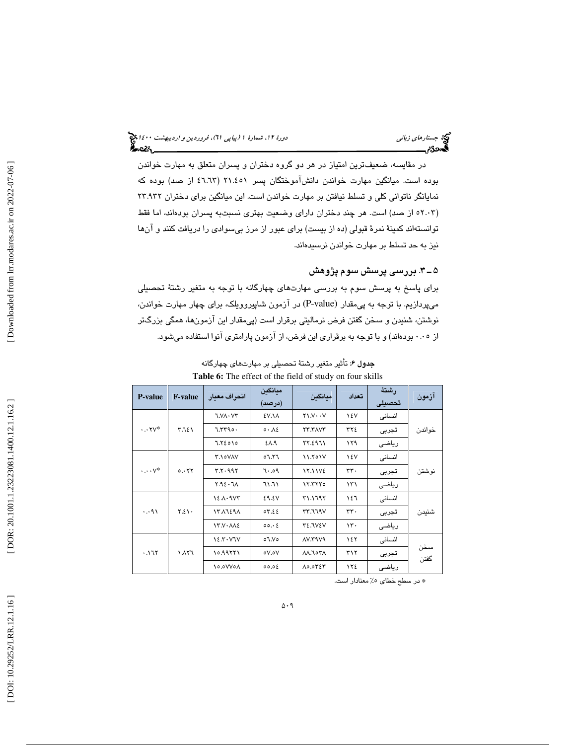# جستار*هاي زباني هي المرديبهشت 14*00 المرديبي في المرديب المرديبي المرديبهشت 1400 هجرا بعد المرديب المرديب

در مقايسه، ضعيفترين امتياز در هر دو گروه دختران و پسران متعلق به مهارت خواندن بوده است. ميانگين مهارت خواندن دانشآموختگان پسر 21.451 ( 46.63 از صد) بوده كه نمايانگر ناتواني كلي و تسلط نيافتن بر مهارت خواندن است. اين ميانگين براي دختران 23.932 (۲۰۰۳ه از صد) است. هر چند دختران دارای وضعیت بهتری نسبتبه پسران بودهاند، اما فقط توانستهاند كمينة نمرة قبولي (ده از بيست) براي عبور از مرز بيسوادي را دريافت كنند و آنها نيز به حد تسلط بر مهارت خواندن نرسيدهاند.

## 3ـ 5 . بررسي پرسش سوم پژوهش

براي پاسخ به پرسش سوم به بررسي مهارتهاي چهارگانه با توجه به متغير رشتة تحصيلي میپردازیم. با توجه به پی.مقدار (P-value) در آزمون شاپیروویلک، برای چهار مهارت خواندن، نوشتن، شنيدن و سخن گفتن فرض نرماليتي برقرار است (پيمقدار اين آزمونها، همگي بزرگتر از 0.05 بودهاند) و با توجه به برقراري اين فرض، از آزمون پارامتري آنوا استفاده ميشود.

| <b>THEIR OF THE CHUCK</b> OF the Hera of staat, on four skills |                                      |                     |                   |                               |       |                 |             |  |
|----------------------------------------------------------------|--------------------------------------|---------------------|-------------------|-------------------------------|-------|-----------------|-------------|--|
| <b>P-value</b>                                                 | <b>F-value</b>                       | انحراف معبار        | ميانگين<br>(درصد) | ميانگين                       | تعداد | رشتهٔ<br>تحصيلى | آزمون       |  |
|                                                                |                                      | <b>J.VA</b> · V۳    | <b>٤V.١٨</b>      | $Y \setminus V \cdot \cdot V$ | ١٤V   | انسانی          |             |  |
| $\cdot \cdot \mathsf{Y} \mathsf{V}^*$                          | ۳.٦٤١                                | 7.7790.             | 0.12              | <b>TT.TAVT</b>                | ٣٢٤   | تجربى           | خواندن      |  |
|                                                                |                                      | 7.72010             | ٤٨.٩              | 77.2971                       | ۱۲۹   | رياضى           |             |  |
|                                                                |                                      | <b>T.IOVAV</b>      | 7.۲٦ه             | 11.701V                       | ١٤V   | انسانى          |             |  |
| $\cdots v^*$<br>0.577                                          |                                      | Y. Y. 99Y           | $P_0.1$           | <b>17.11VE</b>                | rr.   | تجربى           | نوشتن       |  |
|                                                                |                                      | Y.92.7 <sub>A</sub> | 11.11             | 17.7770                       | ۱۳۱   | رياضى           |             |  |
|                                                                |                                      | 12.1.9V             | 29.5V             | <b>۳۱.۱٦٩٢</b>                | ۱٤٦   | انسانى          |             |  |
| . .91                                                          | $Y.\xi \setminus \cdot$              | 1371291             | 07.55             | YY.779V                       | rr.   | تجربى           | شنيدن       |  |
|                                                                | $YY. V \cdot \Lambda \Lambda \Sigma$ | 00.06               | <b>TE.JVEV</b>    | $\mathcal{N}$                 | رياضى |                 |             |  |
| .171                                                           |                                      | 12.7.77V            | ٥٦.V٥             | <b>AV. TAV9</b>               | 157   | انسانى          |             |  |
|                                                                | ۲٦۸۱                                 | 10.99771            | oV.oV             | ۸۸.٦٥٣٨                       | ۳۱۲   | تجربى           | سخن<br>گفتن |  |
|                                                                |                                      | 10.0W0A             | 00.05             | <b>AO.OYEY</b>                | ١٢٤   | رياضى           |             |  |

**جدول ۶**: تأثير متغير رشتهٔ تحصيلي بر مهارتهاي چهارگانه **Table 6:** The effect of the field of study on four skills

% معنادار است. \* در سطح خطاي 5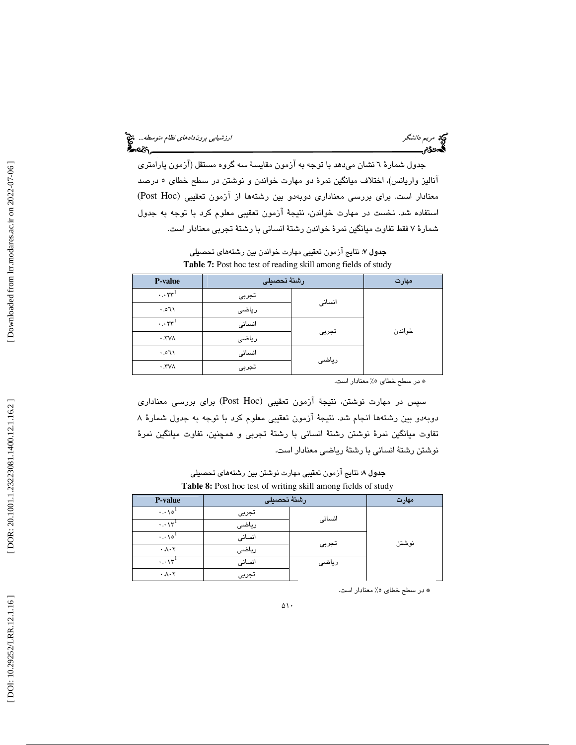جدول شمارهٔ ٦ نشان ميدهد با توجه به آزمون مقايسهٔ سه گروه مستقل (آزمون پارامتري آناليز واريانس)، اختلاف ميانگين نمرة دو مهارت خواندن و نوشتن در سطح خطاي 5 درصد (Post Hoc معنادار است. براي بررسي معناداري دوبهدو بين رشتهها از آزمون تعقيبي ( استفاده شد. نخست در مهارت خواندن، نتيجة آزمون تعقيبي معلوم كرد با توجه به جدول شمارة 7 فقط تفاوت ميانگين نمرة خواندن رشتة انساني با رشتة تجربي معنادار است.

جدول 7: نتايج آزمون تعقيبي مهارت خواندن بين رشتههاي تحصيلي **Table 7:** Post hoc test of reading skill among fields of study

| <b>P-value</b>                   | رشتة تحصيلى | مهارت  |        |
|----------------------------------|-------------|--------|--------|
| $\cdots$ rr <sup>1</sup>         | تجربى       | انسانى |        |
| 150.1                            | رياضى       |        |        |
| $\cdot \cdot \cdot \mathsf{Y}^1$ | انسانى      |        | خواندن |
| $\cdot$ . TVA                    | رياضى       | تجربى  |        |
| 150.1                            | انسانى      |        |        |
| $\cdot$ . TVA                    | تجربى       | رياضى  |        |

% معنادار است. \* در سطح خطاي 5

سپس در مهارت نوشتن، نتيجهٔ آزمون تعقيبي (Post Hoc) براي بررسي معناداري دوبهدو بين رشتهها انجام شد. نتيجة آزمون تعقيبي معلوم كرد با توجه به جدول شمارة 8 تفاوت ميانگين نمرة نوشتن رشتة انساني با رشتة تجربي و همچنين، تفاوت ميانگين نمرة نوشتن رشتة انساني با رشتة رياضي معنادار است.

جدول 8: نتايج آزمون تعقيبي مهارت نوشتن بين رشتههاي تحصيلي **Table 8:** Post hoc test of writing skill among fields of study

| <b>P-value</b>                    | رشتة تحصيلى | مهارت  |       |
|-----------------------------------|-------------|--------|-------|
| $\cdot \cdot \cdot \cdot \circ '$ | تجربى       |        |       |
| $\cdots \vee \cdots$              | رياضى       | انسانى |       |
| $\cdot \cdot \cdot \cdot \circ '$ | انسانى      |        |       |
| $\cdot \lambda \cdot 7$           | رياضى       | تجربى  | نوشتن |
| $\cdots \vee \cdots$              | انسانى      | رياضى  |       |
| $\cdot \lambda \cdot 7$           | تجربى       |        |       |

% معنادار است. \* در سطح خطاي 5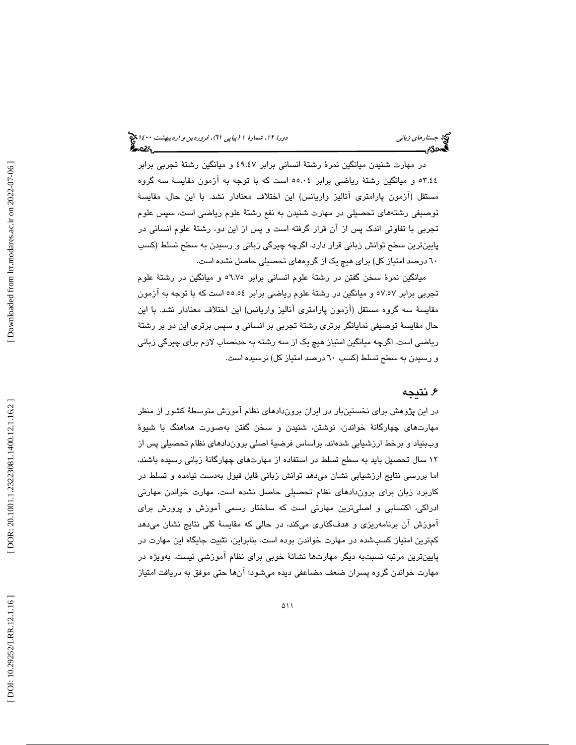در مهارت شنيدن ميانگين نمرة رشتة انساني برابر 49.47 و ميانگين رشتة تجربي برابر 53.44 و ميانگين رشتة رياضي برابر 55.04 است كه با توجه به آزمون مقايسة سه گروه مستقل (آزمون پارامتري آناليز واريانس) اين اختلاف معنادار نشد. با اين حال، مقايسة توصيفي رشتههاي تحصيلي در مهارت شنيدن به نفع رشتة علوم رياضي است، سپس علوم تجربي با تفاوتي اندك پس از آن قرار گرفته است و پس از اين دو، رشتة علوم انساني در پايينترين سطح توانش زباني قرار دارد. اگرچه چيرگي زباني و رسيدن به سطح تسلط (كسب 60 درصد امتياز كل) براي هيچ يك از گروههاي تحصيلي حاصل نشده است.

ميانگين نمرة سخن گفتن در رشتة علوم انساني برابر 56.75 و ميانگين در رشتة علوم تجربي برابر 57.57 و ميانگين در رشتة علوم رياضي برابر 55.54 است كه با توجه به آزمون مقايسة سه گروه مستقل (آزمون پارامتري آناليز واريانس) اين اختلاف معنادار نشد. با اين حال مقايسة توصيفي نمايانگر برتري رشتة تجربي بر انساني و سپس برتري اين دو بر رشتة رياضي است. اگرچه ميانگين امتياز هيچ يك از سه رشته به حدنصاب لازم براي چيرگي زباني و رسيدن به سطح تسلط (كسب 60 درصد امتياز كل) نرسيده است.

## 6. نتيجه

در اين پژوهش براي نخستينبار در ايران بروندادهاي نظام آموزش متوسطة كشور از منظر مهارتهاي چهارگانة خواندن، نوشتن، شنيدن و سخن گفتن بهصورت هماهنگ با شيوة وببنياد و برخط ارزشيابي شدهاند. براساس فرضية اصلي بروندادهاي نظام تحصيلي پس از 12 سال تحصيل بايد به سطح تسلط در استفاده از مهارتهاي چهارگانة زباني رسيده باشند، اما بررسي نتايج ارزشيابي نشان ميدهد توانش زباني قابل قبول بهدست نيامده و تسلط در كاربرد زبان براي بروندادهاي نظام تحصيلي حاصل نشده است. مهارت خواندن مهارتي ادراكي، اكتسابي و اصليترين مهارتي است كه ساختار رسمي آموزش و پرورش براي آموزش آن برنامهريزي و هدفگذاري ميكند، در حالي كه مقايسة كلي نتايج نشان ميدهد كمترين امتياز كسبشده در مهارت خواندن بوده است. بنابراين، تثبيت جايگاه اين مهارت در پايينترين مرتبه نسبتبه ديگر مهارتها نشانة خوبي براي نظام آموزشي نيست، بهويژه در مهارت خواندن گروه پسران ضعف مضاعفي ديده ميشود؛ آن ها حتي موفق به دريافت امتياز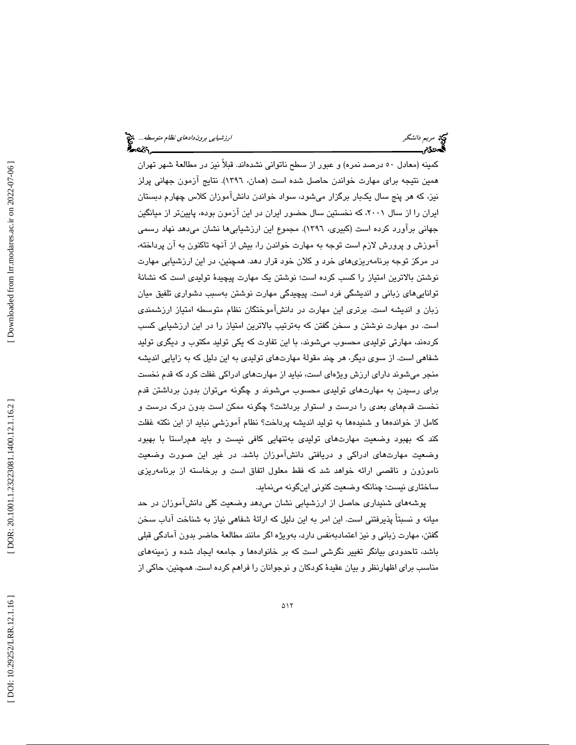كمينه (معادل 50 درصد نمره) و عبور از سطح ناتواني نشدهاند. قبلاً نيز در مطالعة شهر تهران همين نتيجه براي مهارت خواندن حاصل شده است (همان، 1396). نتايج آزمون جهاني پرلز نيز، كه هر پنج سال يكبار برگزار ميشود، سواد خواندن دانشآموزان كلاس چهارم دبستان ايران را از سال ٢٠٠١، كه نخستين سال حضور ايران در اين آزمون بوده، پايينتر از ميانگين جهاني برآورد كرده است (كبيري، 1396). مجموع اين ارزشيابيها نشان م يدهد نهاد رسمي و آموزش پرورش لازم است توجه به مهارت خواندن را، بيش از آنچه تاكنون به آن پرداخته، در مركز توجه برنامهريزيهاي خرد و كلان خود قرار دهد. همچنين، در اين ارزشيابي مهارت نوشتن بالاترين امتياز را كسب كرده است؛ نوشتن يك مهارت پيچيدة توليدي است كه نشانة تواناييهاي زباني و انديشگي فرد است. پيچيدگي مهارت نوشتن بهسبب دشواري تلفيق ميان زبان و انديشه است. برتري اين مهارت در دانشآموختگان نظام متوسطه امتياز ارزشمندي است. دو مهارت نوشتن و سخن گفتن كه بهترتيب بالاترين امتياز را در اين ارزشيابي كسب كردهند، مهارتي توليدي محسوب ميشوند، با اين تفاوت كه يكي توليد مكتوب و ديگري توليد شفاهي است. از سوي ديگر، هر چند مقولة مهارتهاي توليدي به اين دليل كه به زايايي انديشه منجر ميشوند داراي ارزش ويژهاي است، نبايد از مهارتهاي ادراكي غفلت كرد كه قدم نخست براي رسيدن به مهارتهاي توليدي محسوب ميشوند و چگونه ميتوان بدون برداشتن قدم نخست قدمهاي بعدي را درست و استوار برداشت؟ چگونه ممكن است بدون درك درست و كامل از خواندهها و شنيدهها به توليد انديشه پرداخت؟ نظام آموزشي نبايد از اين نكته غفلت كند كه بهبود وضعيت مهارتهاي توليدي بهتنهايي كافي نيست و بايد همراستا با بهبود وضعيت مهارتهاي ادراكي و دريافتي دانشآموزان باشد. در غير اين صورت وضعيت ناموزون و ناقصي ارائه خواهد شد كه فقط معلول اتفاق است و برخاسته از برنامهريزي ساختاري نيست؛ چنانكه وضعيت كنوني اينگونه مينمايد.

پوشههاي شنيداري حاصل از ارزشيابي نشان ميدهد وضعيت كلي دانشآموزان در حد ميانه و نسبتاً پذيرفتني است. اين امر به اين دليل كه ارائة شفاهي نياز به شناخت آداب سخن گفتن، مهارت زباني و نيز اعتمادبهنفس دارد، بهويژه اگر مانند مطالعة حاضر بدون آمادگي قبلي باشد، تاحدودي بيانگر تغيير نگرشي است كه بر خانوادهها و جامعه ايجاد شده و زمينههاي مناسب براي اظهارنظر و بيان عقيدة كودكان و نوجوانان را فراهم كرده است. همچنين، حاكي از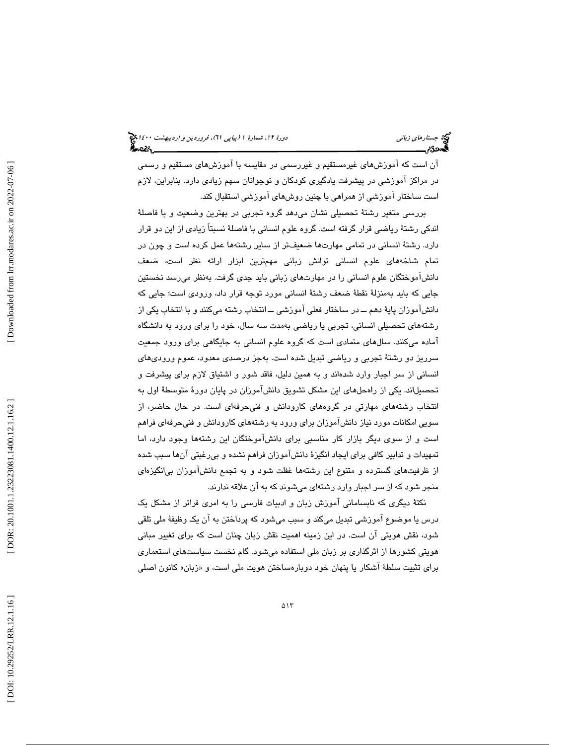آن است كه آموزشهاي غيرمستقيم و غيررسمي در مقايسه با آموزشهاي مستقيم و رسمي در مراكز آموزشي در پيشرفت يادگيري كودكان و نوجوانان سهم زيادي دارد. بنابراين، لازم است ساختار آموزشي از همراهي با چنين روشهاي آموزشي استقبال كند.

بررسي متغير رشتة تحصيلي نشان ميدهد گروه تجربي در بهترين وضعيت و با فاصلة اندكي رشتة رياضي قرار گرفته است. گروه علوم انساني با فاصلة نسبتاً زيادي از اين دو قرار دارد. رشتة انساني در تمامي مهارتها ضعيفتر از ساير رشتهها عمل كرده است و چون در تمام شاخههاي علوم انساني توانش زباني مهمترين ابزار ارائه نظر است، ضعف دانشآموختگان علوم انساني را در مهارتهاي زباني بايد جدي گرفت. بهنظر ميرسد نخستين جايي كه بايد بهمنزلة نقطة ضعف رشتة انساني مورد توجه قرار داد، ورودي است؛ جايي كه دانشآموزان پاية دهم ــ در ساختار فعلي آموزشي ــ انتخاب رشته ميكنند و با انتخاب يكي از رشتههاي تحصيلي انساني، تجربي يا رياضي بهمدت سه سال، خود را براي ورود به دانشگاه آماده ميكنند. سالهاي متمادي است كه گروه علوم انساني به جايگاهي براي ورود جمعيت سرريز دو رشتة تجربي و رياضي تبديل شده است. بهجز درصدي معدود، عموم وروديهاي انساني از سر اجبار وارد شدهاند و به همين دليل، فاقد شور و اشتياق لازم براي پيشرفت و تحصيلاند. يكي از راه حلهاي اين مشكل تشويق دانشآموزان در پايان دورة متوسطة اول به انتخاب رشتههاي مهارتي در گروههاي كارودانش و فنيحرفهاي است. در حال حاضر، از سويي امكانات مورد نياز دانشآموزان براي ورود به رشتههاي كارودانش و فنيحرفهاي فراهم است و از سوي ديگر بازار كار مناسبي براي دانشآموختگان اين رشتهها وجود دارد، اما تمهيدات و تدابير كافي براي ايجاد انگيزة دانشآموزان فراهم نشده و بيرغبتي آنها سبب شده از ظرفيتهاي گسترده و متنوع اين رشتهها غفلت شود و به تجمع دانشآموزان بيانگيزهاي منجر شود كه از سر اجبار وارد رشتهاي ميشوند كه به آن علاقه ندارند.

نكتة ديگري كه نابساماني آموزش زبان و ادبيات فارسي را به امري فراتر از مشكل يك درس يا موضوع آموزشي تبديل مي كند و سبب ميشود كه پرداختن به آن يك وظيفة ملي تلقي شود، نقش هويتي آن است. در اين زمينه اهميت نقش زبان چنان است كه براي تغيير مباني هويتي كشورها از اثرگذاري بر زبان ملي استفاده ميشود. گام نخست سياستهاي استعماري برای تثبیت سلطهٔ اشکار یا پنهان خود دوبارهساختن هویت ملی است، و «زبان» کانون اصلی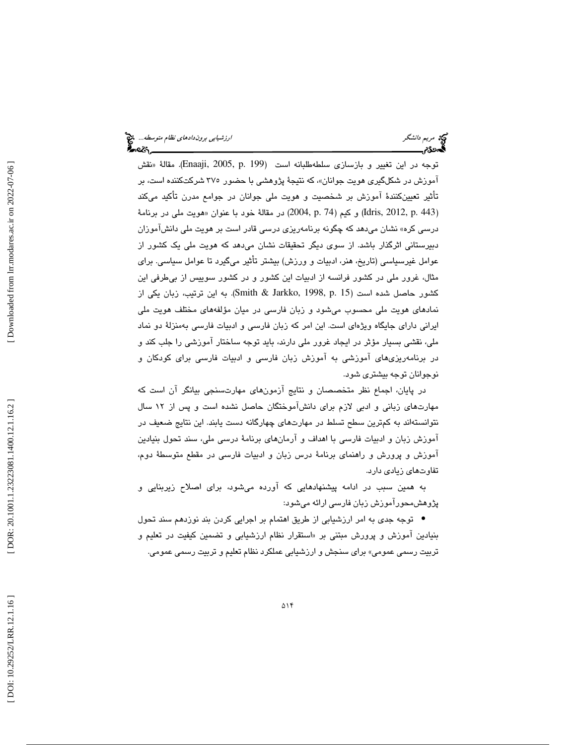نقش توجه در اين تغيير و بازسازي سلطهطلبانه است (199 .p 2005, ,Enaaji( . مقالة « اموزش در شكلگير*ى ه*ويت جوانان»، كه نتيجهٔ پژوهش*ي* با حضور ٣٧٥ شركتكننده است، بر تأثير تعيينكنندة آموزش بر شخصيت و هويت ملي جوانان در جوامع مدرن تأكيد ميكند (Idris, 2012, p. 443) و كيم (74 ,p. 74) در مقالهٔ خود با عنوان «هويت ملي در برنامهٔ درسي كره» نشان ميدهد كه چگونه برنامهريزي درسي قادر است بر هويت ملي دانشآموزان دبيرستاني اثرگذار باشد. از سوي ديگر تحقيقات نشان ميدهد كه هويت ملي يك كشور از عوامل غيرسياسي (تاريخ، هنر، ادبيات و ورزش) بيشتر تأثير ميگيرد تا عوامل سياسي. براي مثال، غرور ملي در كشور فرانسه از ادبيات اين كشور و در كشور سوييس از بيطرفي اين كشور حاصل شده است (15 .Smith & Jarkko, 1998, p به اين ترتيب، زبان يكي از نمادهاي هويت ملي محسوب ميشود و زبان فارسي در ميان مؤلفههاي مختلف هويت ملي ايراني داراي جايگاه ويژهاي است. اين امر كه زبان فارسي و ادبيات فارسي بهمنزلة دو نماد ملي، نقشي بسيار مؤثر در ايجاد غرور ملي دارند، بايد توجه ساختار آموزشي را جلب كند و در برنامهريزيهاي آموزشي به آموزش زبان فارسي و ادبيات فارسي براي كودكان و نوجوانان توجه بيشتري شود.

در پايان، اجماع نظر متخصصان و نتايج آزمونهاي مهارتسنجي بيانگر آن است كه مهارتهاي زباني و ادبي لازم براي دانشآموختگان حاصل نشده است و پس از 12 سال نتوانستهاند به كمترين سطح تسلط در مهارتهاي چهارگانه دست يابند. اين نتايج ضعيف در آموزش زبان و ادبيات فارسي با اهداف و آرم انهاي برنامة درسي ملي، سند تحول بنيادين آموزش و پرورش و راهنماي برنامة درس زبان و ادبيات فارسي در مقطع متوسطة دوم، تفاوتهاي زيادي دارد.

به همين سبب در ادامه پيشنهادهايي كه آورده ميشود، براي اصلاح زيربنايي و پژوهشمحورآموزش زبان فارسي ارائه ميشود:

توجه جدي به امر ارزشيابي از طريق اهتمام بر اجرايي كردن بند نوزدهم سند تحول • بنيادين اموزش و پرورش مبتني بر «استقرار نظام ارزشيابي و تضمين كيفيت در تعليم و تربيت رسمي عمومي» براي سنجش و ارزشيابي عملكرد نظام تعليم و تربيت رسمي عمومي.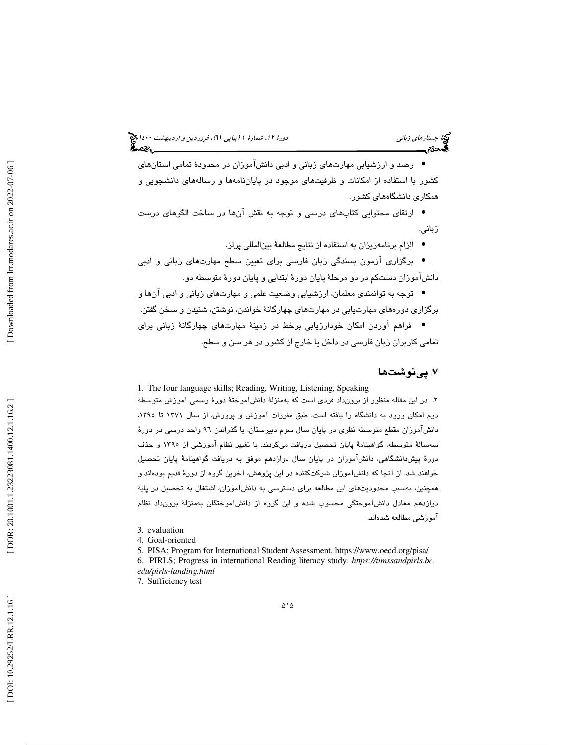# جستار*هاي زباني هي المرديبهشت 14*00 المرديبي في المرديب المرديبي المرديبهشت 1400 هجرا بعد المرديب المرديب

رصد و ارزشيابي مهارتهاي زباني و ادبي دانشآموزان در محدودة تمامي استانهاي • كشور با استفاده از امكانات و ظرفيتهاي موجود در پاياننامهها و رسالههاي دانشجويي و همكاري دانشگاههاي كشور.

ارتقاي محتوايي كتابهاي درسي و توجه به نقش آنها در ساخت الگوهاي درست • زباني.

الزام برنامهريزان به استفاده از نتايج مطالعة بينالمللي پرلز. •

برگزاري آزمون بسندگي زبان فارسي براي تعيين سطح مهارتهاي زباني و ادبي • دانشآموزان دستكم در دو مرحلة پايان دورة ابتدايي و پايان دورة متوسطه دو.

توجه به توانمندي معلمان، ارزشيابي وضعيت علمي و مهارتهاي زباني و ادبي آنها و • برگزاري دورههاي مهارتيابي در مهارتهاي چهارگانة خواندن، نوشتن، شنيدن و سخن گفتن.

فراهم آوردن امكان خودارزيابي برخط در زمينة مهارتهاي چهارگانة زباني براي • تمامي كاربران زبان فارسي در داخل يا خارج از كشور در هر سن و سطح.

## ۷. پينوشتها

1. The four language skills; Reading, Writing, Listening, Speaking 2. در اين مقاله منظور از برونداد فردي است كه بهمنزلة دانشآموختة دورة رسمي آموزش متوسطة دوم امكان ورود به دانشگاه را يافته است. طبق مقررات آموزش و پرورش، از سال 1371 تا ،1395 دانشآموزان مقطع متوسطه نظري در پايان سال سوم دبيرستان، با گذراندن 96 واحد درسي در دورة سهسالة متوسطه، گواهينامة پايان تحصيل دريافت ميكردند. با تغيير نظام آموزشي از 1395 و حذف دورة پيشدانشگاهي، دانشآموزان در پايان سال دوازدهم موفق به دريافت گواهينامة پايان تحصيل خواهند شد. از آنجا كه دانشآموزان شركتكننده در اين پژوهش، آخرين گروه از دورة قديم بودهاند و همچنين، بهسبب محدوديتهاي اين مطالعه براي دسترسي به دانشآموزان، اشتغال به تحصيل در پاية دوازدهم معادل دانشآموختگي محسوب شده و اين گروه از دانشآموختگان به د منزلة برون اد نظام آموزشي مطالعه شدهاند.

5. PISA; Program for International Student Assessment. https://www.oecd.org/pisa/ 6. PIRLS; Progress in international Reading literacy study*. https://timssandpirls.bc. edu/pirls-landing.html* 

7. Sufficiency test

<sup>3.</sup> evaluation

<sup>4.</sup> Goal-oriented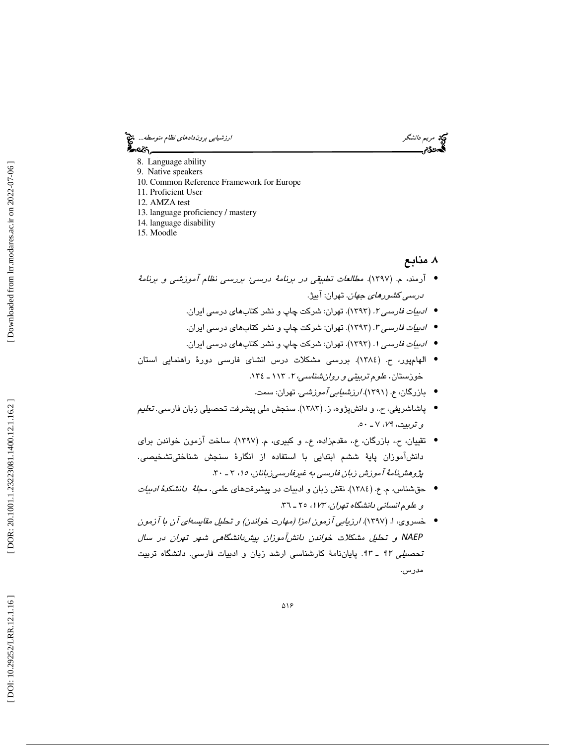مريم د*انشگر است دانشگر* است.<br>مريم دانشگر است به است با بين برو*ندادهاي نظام متوسطه...*<br>**گست دانشگر با بين با**ري بين باري بين باري بين باري بين باري بين باري بين باري بين باري باري باري باري باري باري

- 8. Language ability
- 9. Native speakers
- 10. Common Reference Framework for Europe
- 11. Proficient User
- 12. AMZA test
- 13. language proficiency / mastery
- 14. language disability
- 15. Moodle

## 8. منابع

- آرمند، م. (1397). مطالعات تطبيقي در برنامة درسي: بررسي نظام آموزشي و برنامة *درسي كشورهاي جهان*. تهران: آبيژ.
	- *ادبیات فارسی ۲.* (۱۳۹۳). تهران: شركت چاپ و نشر ك<mark>تابهای درسی ایران.</mark>
	- *ادبیات فارسی ۳.* (۱۳۹۳). تهران: شرکت چاپ و نشر ک<mark>تابهای درسی ایران.</mark>
	- *ادبیات فارسی ۱.* (۱۳۹۳). تهران: شرکت چاپ و نشر ک<mark>تابهای درسی ایران.</mark>
- الهامپور، ح. (1384). بررسي مشكلات درس انشاي فارسي دورة راهنمايي استان خوزستان. *علوم تربيتي و روان شناسي، ٢*. ١١٣ ـ ١٣٤.
	- بازرگان، ع. (1391). ارزشيابي آموزشي. تهران: سمت. •
- پاشاشريفي، ح.، و دانشپژوه، ز. (١٣٨٣). سنجش ملي پيشرفت تحصيلي زبان فارسي. *تعليم* و تربيت، <sup>79</sup> ـ ،7 50.
- تقييان، ح،. بازرگان، ع،. مقدمزاده، ع،. و كبيري، م. (1397). ساخت آزمون خواندن براي دانشآموزان پاية ششم ابتدايي با استفاده از انگارة سنجش شناختيتشخيصي. پژوهشنامهٔ آموزش زبان فارسی به غیرفارسی زبانان، ۱۵، ۳ ـ ۳۰.
- حقشناس، م. ع. (١٣٨٤). نقش زبان و ادبيات در پيشرفتهاى علمي. *مجلةً دانشكدة ادبيات* و علوم انساني دانشگاه تهران، ١٧٣، ٢٥ ـ ٣٦.
- خسروي، ا. (1397). ارزيابي آزمون امزا (مهارت خواندن) و تحليل مقايسهاي آن با آزمون NAEP و تحليل مشكلات خواندن دانشآموزان پيشدانشگاهي شهر تهران در سال تحص*يلي ٩٢ ـ ٩٣.* پاياننامهٔ كارشناسي ارشد زبان و ادبيات فارسي. دانشگاه تربيت مدرس.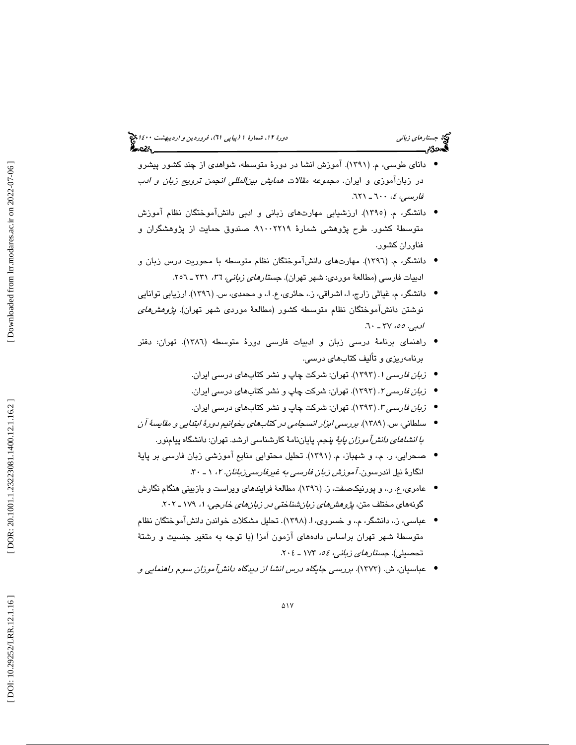- داناي طوسي، م. (١٣٩١). آموزش انشا در دورهٔ متوسطه، شواهدي از چند كشور پيشرو در زبانآموزی و ايران. مج*موعه مقلات همايش بين|لمللي انجمن ترويج زبان و ادب*<br>*فارسي، ٤، ٦٠٠ ـ ٦*٢١.
- دانشگر، م. (1395). ارزشيابي مهارتهاي زباني و ادبي دانشآموختگان نظام آموزش متوسطة كشور. طرح پژوهشي شمارة ٢٢١٩-٩١٠. صندوق حمايت از پژوهشگران و فناوران كشور.
- دانشگر، م. (1396). مهارتهاي دانشآموختگان نظام متوسطه با محوريت درس زبان و ادبيات فارسى (مطالعهٔ موردی: شهر تهران). ج*ستارهای زبانی،* ۳1، ۲۳۱ ـ ۲۰۵۲.
- دانشگر، م، غياثي زارج، ا،. اشراقي، ز،. حائري، ع. ا،. و محمدي، س. (1396). ارزيابي توانايي نوشتن دانشآموختگان نظام متوسطه كشور (مطالعهٔ موردی شهر تهران). *پژوهشهای ادبي. ٥٥، ٢٧ ـ* ٦٠.
- راهنماي برنامة درسي زبان و ادبيات فارسي دورة متوسطه (1386). تهران: دفتر برنامهريزي و تأليف كتابهاي درسي.
	- ز*بان فارسی ۱.* (۱۳۹۳). تهران: شركت چاپ و نشر ك<mark>تابهاي درسي ايران.</mark>
	- ز*بان فارسی ۲.* (۱۳۹۳). تهران: شركت چاپ و نشر ك<mark>تابها</mark>ی درسی ایران.
	- ز*بان فارسی ۳.* (۱۳۹۳). تهران: شركت چاپ و نشر ك<mark>تابها</mark>ی درسی ایران.
- سلطاني، س. (١٣٨٩). برر*سي ابزار انسجامي در كتاب هاي بخوانيم دورهٔ ابتدايي و مقايسةً آن با انشاهاي دانش آموزان پايهٔ* پنجم. پاياننامهٔ كارشناسي ارشد. تهران: دانشگاه پيامنور.
- صحرايي، ر. م.، و شهباز، م. (١٣٩١). تحليل محتوايي منابع آموزشي زبان فارسي بر پايهٔ انگارهٔ نیل اندرسون. *آموزش زبان فارسی به غیرفارسی;بانان. ۲،* ۱ ـ ۳۰.
- عامري، ع. ر.، و پورنيكصفت، ز. (١٣٩٦). مطالعهٔ فرايندهاي ويراست و بازبيني هنگام نگارش گونههای مختلف متن، *پژوهشهای زبانشناختی در زبانهای خارجی*، ۱، ۱۷۹ ـ ۲۰۲.
- عباسي، ز.، دانشگر، م.، و خسروي، ا. (١٣٩٨). تحليل مشكلات خواندن دانشآموختگان نظام متوسطهٔ شهر تهران براساس دادههای آزمون اَمزا (با توجه به متغیر جنسیت و رشتهٔ<br>تحصیلی). *جستارهای زبانی، ۱۸۶ ـ ۱*۷۳ ـ ۲۰۶.
- عباسيان، ش. (1373). بررسي جايگاه درس انشا از ديدگاه دانشآموزان سوم راهنمايي و •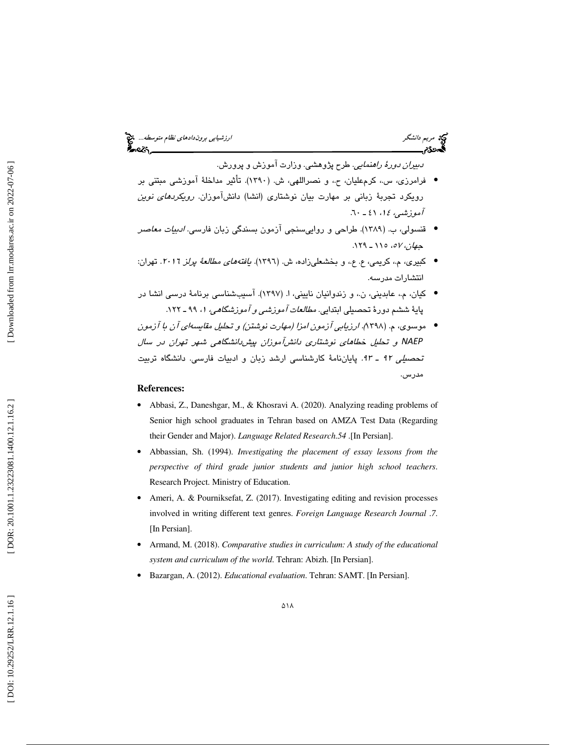*دبيران دورهٔ راهنمايي.* طرح پژوهشي. وزارت آموزش و پرورش.

- فرامرزي، س،. كرمعليان، ح،. و نصراللهي، ش. (1390). تأثير مداخلة آموزشي مبتني بر رویکرد تجربهٔ زبانی بر مهارت بیان نوشتاری (انشا) دانش!موزان. *رویکردهای نوین* آموزشى، ١٤، ٤١ ـ ٦٠.
- قنسولی، ب. (۱۳۸۹). طراحی و رواییسنجی آزمون بسندگی زبان فارس*ی. ادبیات معاصر*  $(179 - 110, 0)$  ،  $\sigma V$  .
- كبيرى، م.، كريمي، ع. ع.، و بخشعل<sub>ى</sub>زاده، ش. (١٣٩٦). *يافتههاي مطالعهٔ پرلز ٢٠١*١. تهران: انتشارات مدرسه.
- كيان، م،. عابديني، ن،. و زندوانيان ناييني، ا. (1397). آسيبشناسي برنامة درسي انشا در پايهٔ ششم دورهٔ تحصيلی ابتدايی. *مطالعات آموزش<sub>می و</sub> آموزشگاهی، ۱*، ۹۹ ـ ۱۲۲.
- موسوي، م. (1398). ارزيابي آزمون امزا (مهارت نوشتن) و تحليل مقايسهاي آن با آزمون NAEP و تحليل خطاهاي نوشتاري دانشآموزان پيشدانشگاهي شهر تهران در سال تحص*يلي ٩٢ - ٩*٣. پاياننامهٔ كارشناسي ارشد زبان و ادبيات فارسي. دانشگاه تربيت مدرس.

## **References:**

- Abbasi, Z., Daneshgar, M., & Khosravi A. (2020). Analyzing reading problems of Senior high school graduates in Tehran based on AMZA Test Data (Regarding their Gender and Major). *Language Related Research* .*54* .[In Persian].
- Abbassian, Sh. (1994). *Investigating the placement of essay lessons from the perspective of third grade junior students and junior high school teachers*. Research Project. Ministry of Education.
- Ameri, A. & Pourniksefat, Z. (2017). Investigating editing and revision processes involved in writing different text genres. *Foreign Language Research Journal* . *7*. [In Persian].
- Armand, M. (2018). *Comparative studies in curriculum: A study of the educational system and curriculum of the world*. Tehran: Abizh. [In Persian].
- Bazargan, A. (2012). *Educational evaluation*. Tehran: SAMT. [In Persian].

Downloaded from lrr.modares.ac.ir on 2022-07-06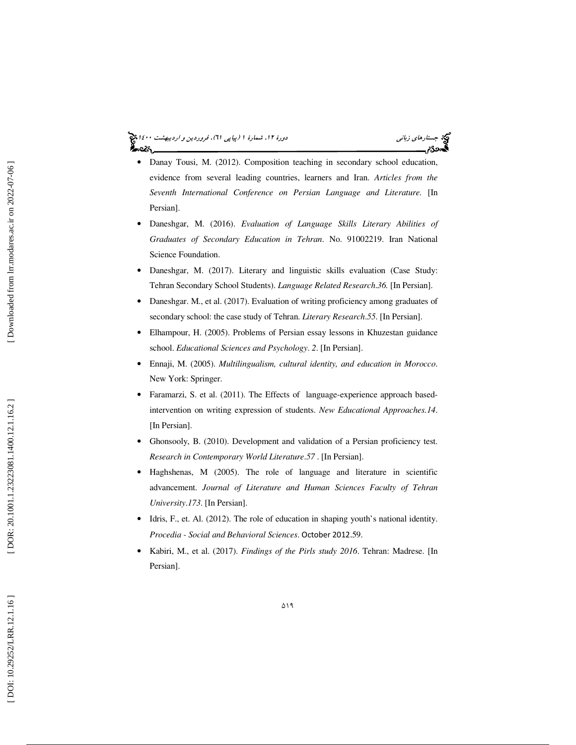#### جستار*هاي زباني هي المرديبهشت 14*00 المرديبي في المرديب المرديبي المرديبهشت 1400 هجرا بعد المرديب المرديب محصولا

- Danay Tousi, M. (2012). Composition teaching in secondary school education, evidence from several leading countries, learners and Iran. *Articles from the Seventh International Conference on Persian Language and Literature.* [In Persian].
- Daneshgar, M. (2016). *Evaluation of Language Skills Literary Abilities of Graduates of Secondary Education in Tehran*. No. 91002219. Iran National Science Foundation.
- Daneshgar, M. (2017). Literary and linguistic skills evaluation (Case Study: Tehran Secondary School Students). *Language Related Research* .*36.* [In Persian].
- Daneshgar. M., et al. (2017). Evaluation of writing proficiency among graduates of secondary school: the case study of Tehran. *Literary Research* .*55*. [In Persian].
- Elhampour, H. (2005). Problems of Persian essay lessons in Khuzestan guidance school. *Educational Sciences and Psychology*. *2*. [In Persian].
- Ennaji, M. (2005). *Multilingualism, cultural identity, and education in Morocco*. New York: Springer.
- Faramarzi, S. et al. (2011). The Effects of language-experience approach basedintervention on writing expression of students. *New Educational Approaches.14*. [In Persian].
- Ghonsooly, B. (2010). Development and validation of a Persian proficiency test. *Research in Contemporary World Literature* .*57* . [In Persian].
- Haghshenas, M (2005). The role of language and literature in scientific advancement. *Journal of Literature and Human Sciences Faculty of Tehran University* .*173*. [In Persian].
- Idris, F., et. Al. (2012). The role of education in shaping youth's national identity. *Procedia - Social and Behavioral Sciences*. October 2012.59.
- Kabiri, M., et al. (2017). *Findings of the Pirls study 2016*. Tehran: Madrese. [In Persian].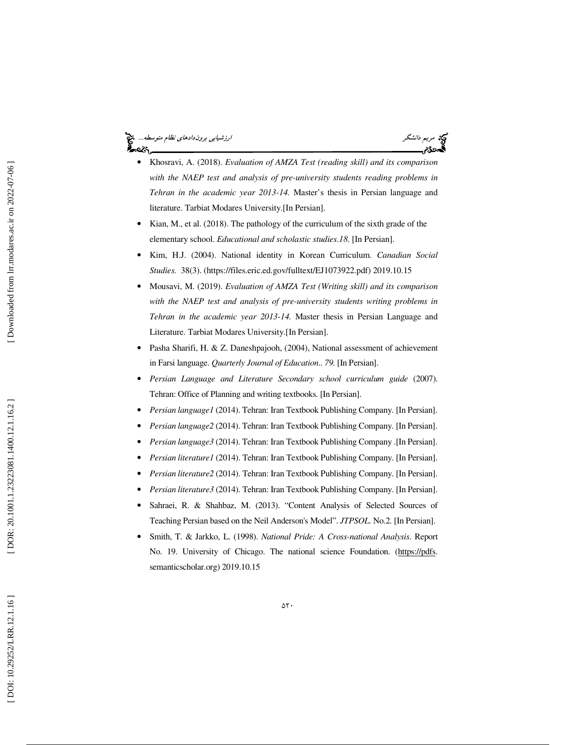#### مريم د*انشگر استفاده بين برون دادهاي نظام متوسطه...* مج<mark>ي</mark> આ પ્રે



- Khosravi, A. (2018). *Evaluation of AMZA Test (reading skill) and its comparison*  with the NAEP test and analysis of pre-university students reading problems in *Tehran in the academic year 2013-14.* Master's thesis in Persian language and literature. Tarbiat Modares University.[In Persian].
- Kian, M., et al. (2018). The pathology of the curriculum of the sixth grade of the elementary school. *Educational and scholastic studies* .*18*. [In Persian].
- Kim, H.J. (2004). National identity in Korean Curriculum. *Canadian Social Studies.* 38(3). (https://files.eric.ed.gov/fulltext/EJ1073922.pdf) 2019.10.15
- Mousavi, M. (2019). *Evaluation of AMZA Test (Writing skill) and its comparison*  with the NAEP test and analysis of pre-university students writing problems in *Tehran in the academic year 2013-14.* Master thesis in Persian Language and Literature. Tarbiat Modares University.[In Persian].
- Pasha Sharifi, H. & Z. Daneshpajooh, (2004), National assessment of achievement in Farsi language. *Quarterly Journal of Education*.. *79*. [In Persian].
- *Persian Language and Literature Secondary school curriculum guide* (2007). Tehran: Office of Planning and writing textbooks. [In Persian].
- *Persian language1* (2014). Tehran: Iran Textbook Publishing Company. [In Persian].
- *Persian language2* (2014). Tehran: Iran Textbook Publishing Company. [In Persian].
- *Persian language3* (2014). Tehran: Iran Textbook Publishing Company .[In Persian].
- *Persian literature1* (2014). Tehran: Iran Textbook Publishing Company. [In Persian].
- *Persian literature2* (2014). Tehran: Iran Textbook Publishing Company. [In Persian].
- *Persian literature3* (2014). Tehran: Iran Textbook Publishing Company. [In Persian].
- Sahraei, R. & Shahbaz, M. (2013). "Content Analysis of Selected Sources of Teaching Persian based on the Neil Anderson's Model". *JTPSOL*. No.2. [In Persian].
- Smith, T. & Jarkko, L. (1998). *National Pride: A Cross-national Analysis*. Report No. 19. University of Chicago. The national science Foundation. (https://pdfs. semanticscholar.org) 2019.10.15